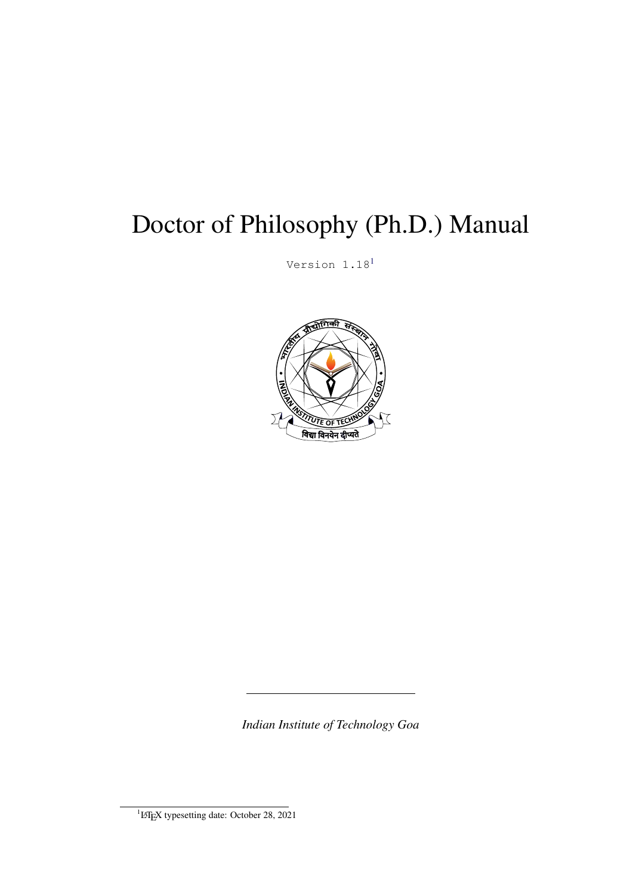# Doctor of Philosophy (Ph.D.) Manual

Version 1.18[1](#page-0-0)



*Indian Institute of Technology Goa*

<span id="page-0-0"></span><sup>&</sup>lt;sup>1</sup>LAT<sub>E</sub>X typesetting date: October 28, 2021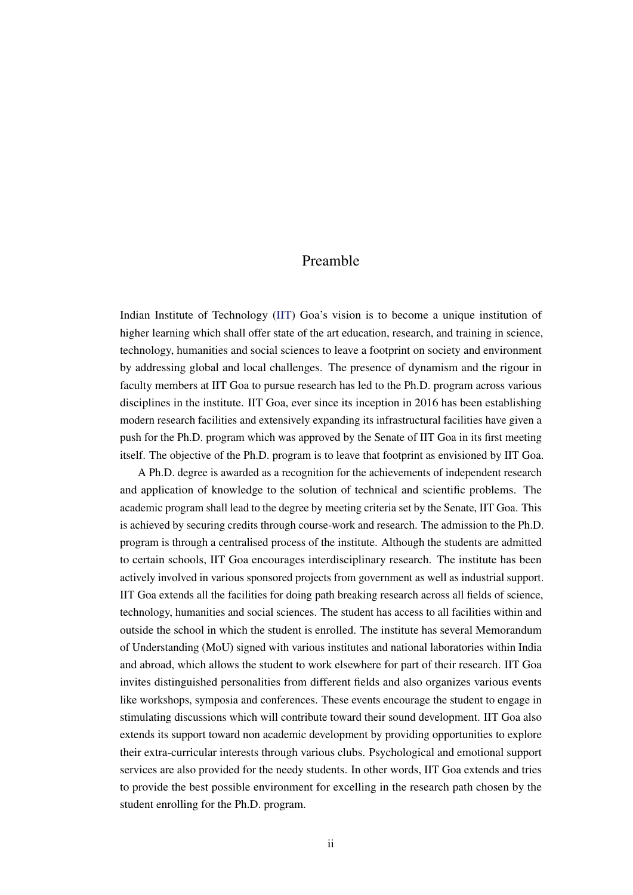#### Preamble

<span id="page-1-1"></span><span id="page-1-0"></span>Indian Institute of Technology [\(IIT\)](#page-44-0) Goa's vision is to become a unique institution of higher learning which shall offer state of the art education, research, and training in science, technology, humanities and social sciences to leave a footprint on society and environment by addressing global and local challenges. The presence of dynamism and the rigour in faculty members at IIT Goa to pursue research has led to the Ph.D. program across various disciplines in the institute. IIT Goa, ever since its inception in 2016 has been establishing modern research facilities and extensively expanding its infrastructural facilities have given a push for the Ph.D. program which was approved by the Senate of IIT Goa in its first meeting itself. The objective of the Ph.D. program is to leave that footprint as envisioned by IIT Goa.

A Ph.D. degree is awarded as a recognition for the achievements of independent research and application of knowledge to the solution of technical and scientific problems. The academic program shall lead to the degree by meeting criteria set by the Senate, IIT Goa. This is achieved by securing credits through course-work and research. The admission to the Ph.D. program is through a centralised process of the institute. Although the students are admitted to certain schools, IIT Goa encourages interdisciplinary research. The institute has been actively involved in various sponsored projects from government as well as industrial support. IIT Goa extends all the facilities for doing path breaking research across all fields of science, technology, humanities and social sciences. The student has access to all facilities within and outside the school in which the student is enrolled. The institute has several Memorandum of Understanding (MoU) signed with various institutes and national laboratories within India and abroad, which allows the student to work elsewhere for part of their research. IIT Goa invites distinguished personalities from different fields and also organizes various events like workshops, symposia and conferences. These events encourage the student to engage in stimulating discussions which will contribute toward their sound development. IIT Goa also extends its support toward non academic development by providing opportunities to explore their extra-curricular interests through various clubs. Psychological and emotional support services are also provided for the needy students. In other words, IIT Goa extends and tries to provide the best possible environment for excelling in the research path chosen by the student enrolling for the Ph.D. program.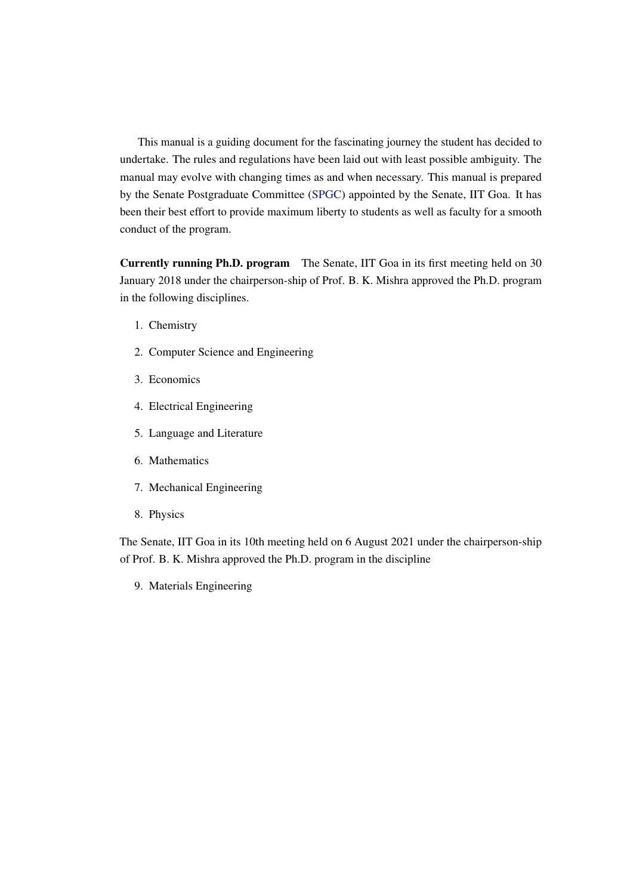<span id="page-2-0"></span>This manual is a guiding document for the fascinating journey the student has decided to undertake. The rules and regulations have been laid out with least possible ambiguity. The manual may evolve with changing times as and when necessary. This manual is prepared by the Senate Postgraduate Committee [\(SPGC\)](#page-44-1) appointed by the Senate, IIT Goa. It has been their best effort to provide maximum liberty to students as well as faculty for a smooth conduct of the program.

Currently running Ph.D. program The Senate, IIT Goa in its first meeting held on 30 January 2018 under the chairperson-ship of Prof. B. K. Mishra approved the Ph.D. program in the following disciplines.

- 1. Chemistry
- 2. Computer Science and Engineering
- 3. Economics
- 4. Electrical Engineering
- 5. Language and Literature
- 6. Mathematics
- 7. Mechanical Engineering
- 8. Physics

The Senate, IIT Goa in its 10th meeting held on 6 August 2021 under the chairperson-ship of Prof. B. K. Mishra approved the Ph.D. program in the discipline

9. Materials Engineering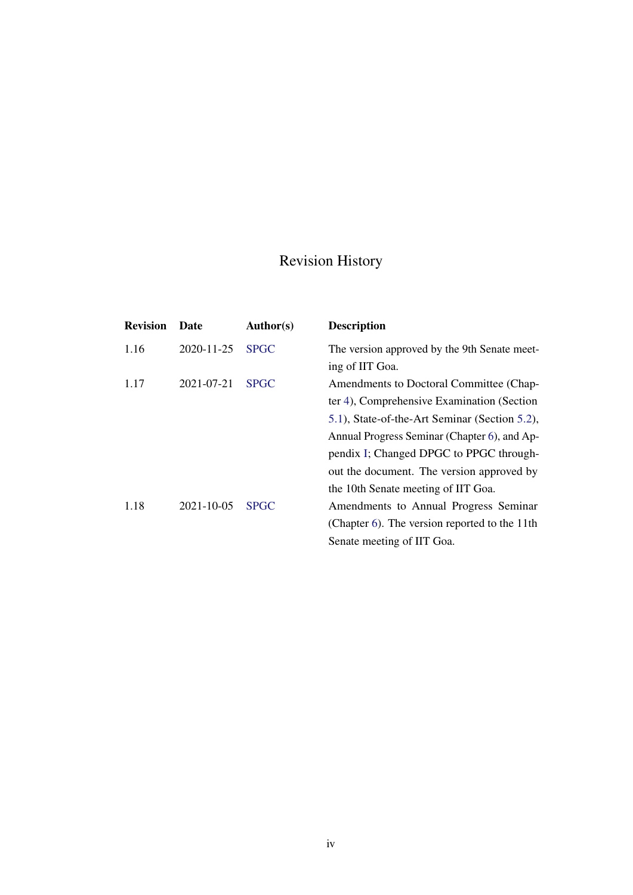# Revision History

<span id="page-3-1"></span><span id="page-3-0"></span>

| <b>Revision</b> | Date             | <b>Author(s)</b> | <b>Description</b>                            |
|-----------------|------------------|------------------|-----------------------------------------------|
| 1.16            | 2020-11-25       | <b>SPGC</b>      | The version approved by the 9th Senate meet-  |
|                 |                  |                  | ing of IIT Goa.                               |
| 1.17            | 2021-07-21       | <b>SPGC</b>      | Amendments to Doctoral Committee (Chap-       |
|                 |                  |                  | ter 4), Comprehensive Examination (Section    |
|                 |                  |                  | 5.1), State-of-the-Art Seminar (Section 5.2), |
|                 |                  |                  | Annual Progress Seminar (Chapter 6), and Ap-  |
|                 |                  |                  | pendix I; Changed DPGC to PPGC through-       |
|                 |                  |                  | out the document. The version approved by     |
|                 |                  |                  | the 10th Senate meeting of IIT Goa.           |
| 1.18            | $2021 - 10 - 05$ | <b>SPGC</b>      | Amendments to Annual Progress Seminar         |
|                 |                  |                  | (Chapter 6). The version reported to the 11th |
|                 |                  |                  | Senate meeting of IIT Goa.                    |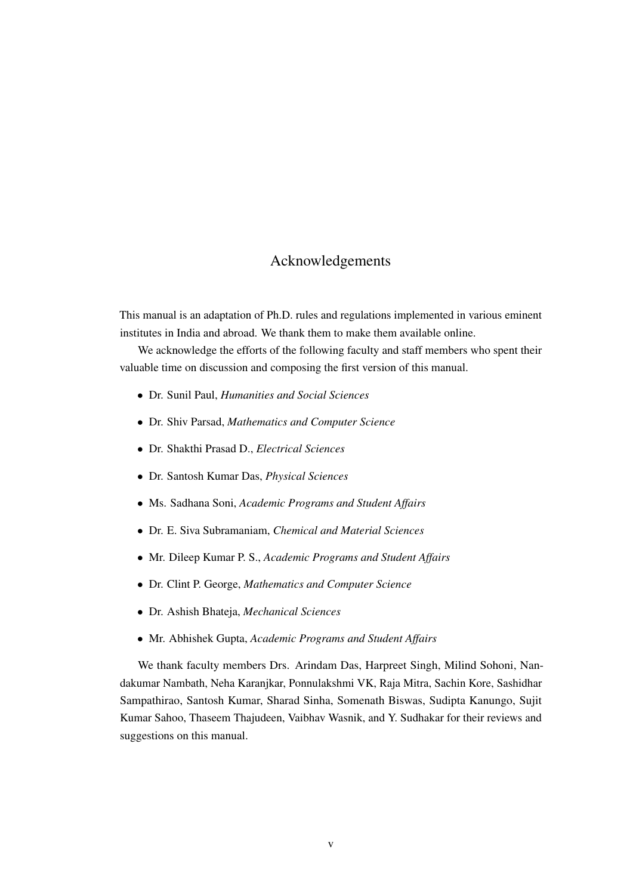#### Acknowledgements

<span id="page-4-0"></span>This manual is an adaptation of Ph.D. rules and regulations implemented in various eminent institutes in India and abroad. We thank them to make them available online.

We acknowledge the efforts of the following faculty and staff members who spent their valuable time on discussion and composing the first version of this manual.

- Dr. Sunil Paul, *Humanities and Social Sciences*
- Dr. Shiv Parsad, *Mathematics and Computer Science*
- Dr. Shakthi Prasad D., *Electrical Sciences*
- Dr. Santosh Kumar Das, *Physical Sciences*
- Ms. Sadhana Soni, *Academic Programs and Student Affairs*
- Dr. E. Siva Subramaniam, *Chemical and Material Sciences*
- Mr. Dileep Kumar P. S., *Academic Programs and Student Affairs*
- Dr. Clint P. George, *Mathematics and Computer Science*
- Dr. Ashish Bhateja, *Mechanical Sciences*
- Mr. Abhishek Gupta, *Academic Programs and Student Affairs*

We thank faculty members Drs. Arindam Das, Harpreet Singh, Milind Sohoni, Nandakumar Nambath, Neha Karanjkar, Ponnulakshmi VK, Raja Mitra, Sachin Kore, Sashidhar Sampathirao, Santosh Kumar, Sharad Sinha, Somenath Biswas, Sudipta Kanungo, Sujit Kumar Sahoo, Thaseem Thajudeen, Vaibhav Wasnik, and Y. Sudhakar for their reviews and suggestions on this manual.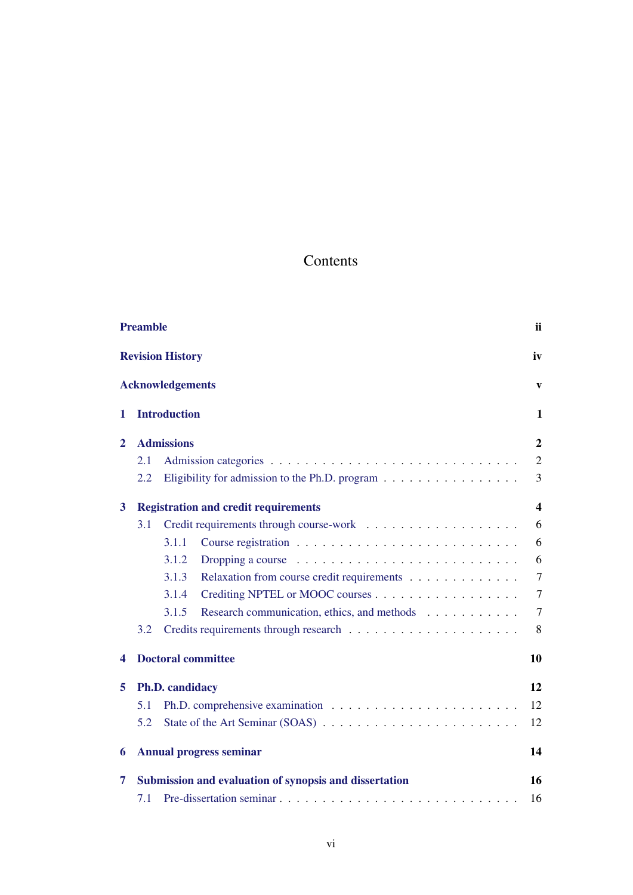# Contents

|                | <b>Preamble</b> |                                                        | ii.            |
|----------------|-----------------|--------------------------------------------------------|----------------|
|                |                 | <b>Revision History</b>                                | iv             |
|                |                 | <b>Acknowledgements</b>                                | $\mathbf{v}$   |
| 1              |                 | <b>Introduction</b>                                    | 1              |
| $\overline{2}$ |                 | <b>Admissions</b>                                      | $\overline{2}$ |
|                | 2.1             |                                                        | $\overline{2}$ |
|                | 2.2             | Eligibility for admission to the Ph.D. program         | 3              |
| 3              |                 | <b>Registration and credit requirements</b>            | 4              |
|                | 3.1             |                                                        | 6              |
|                |                 | 3.1.1                                                  | 6              |
|                |                 | 3.1.2                                                  | 6              |
|                |                 | 3.1.3<br>Relaxation from course credit requirements    | 7              |
|                |                 | Crediting NPTEL or MOOC courses<br>3.1.4               | $\tau$         |
|                |                 | 3.1.5<br>Research communication, ethics, and methods   | $\overline{7}$ |
|                | 3.2             |                                                        | 8              |
| 4              |                 | <b>Doctoral committee</b>                              | 10             |
| 5              |                 | Ph.D. candidacy                                        | 12             |
|                | 5.1             |                                                        | 12             |
|                | 5.2             |                                                        | 12             |
| 6              |                 | <b>Annual progress seminar</b>                         | 14             |
| 7              |                 | Submission and evaluation of synopsis and dissertation | 16             |
|                | 7.1             |                                                        | 16             |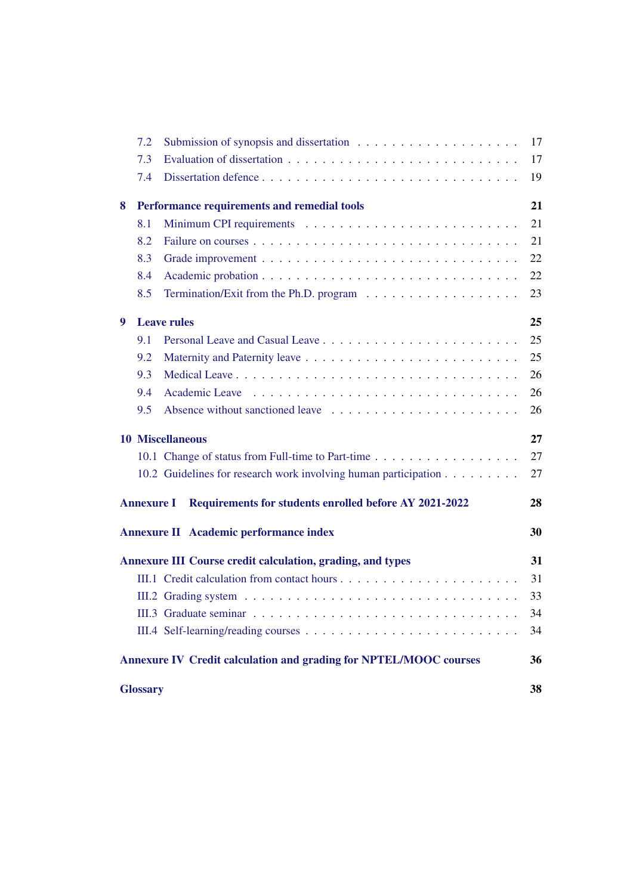|   | 7.2               |                                                                          | 17 |
|---|-------------------|--------------------------------------------------------------------------|----|
|   | 7.3               |                                                                          | 17 |
|   | 7.4               |                                                                          | 19 |
| 8 |                   | Performance requirements and remedial tools                              | 21 |
|   | 8.1               |                                                                          | 21 |
|   | 8.2               |                                                                          | 21 |
|   | 8.3               |                                                                          | 22 |
|   | 8.4               |                                                                          | 22 |
|   | 8.5               |                                                                          | 23 |
| 9 |                   | <b>Leave rules</b>                                                       | 25 |
|   | 9.1               |                                                                          | 25 |
|   | 9.2               |                                                                          | 25 |
|   | 9.3               |                                                                          | 26 |
|   | 9.4               |                                                                          | 26 |
|   | 9.5               |                                                                          | 26 |
|   |                   | <b>10 Miscellaneous</b>                                                  | 27 |
|   |                   | 10.1 Change of status from Full-time to Part-time                        | 27 |
|   |                   | 10.2 Guidelines for research work involving human participation          | 27 |
|   | <b>Annexure I</b> | Requirements for students enrolled before AY 2021-2022                   | 28 |
|   |                   | <b>Annexure II Academic performance index</b>                            | 30 |
|   |                   | Annexure III Course credit calculation, grading, and types               | 31 |
|   |                   |                                                                          | 31 |
|   |                   |                                                                          | 33 |
|   |                   |                                                                          | 34 |
|   |                   |                                                                          | 34 |
|   |                   | <b>Annexure IV Credit calculation and grading for NPTEL/MOOC courses</b> | 36 |
|   |                   |                                                                          |    |
|   | <b>Glossary</b>   |                                                                          | 38 |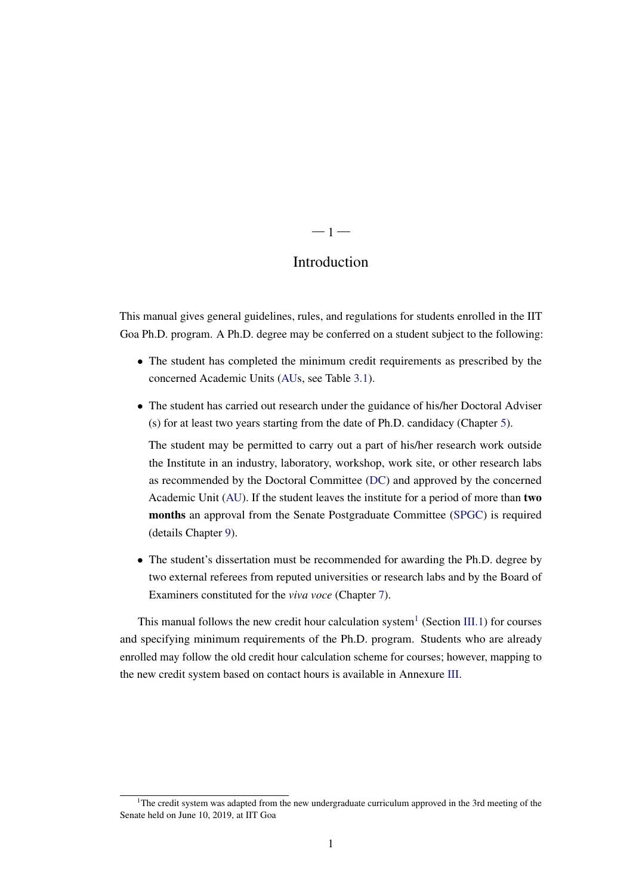# $-1-$

#### Introduction

<span id="page-7-2"></span><span id="page-7-0"></span>This manual gives general guidelines, rules, and regulations for students enrolled in the IIT Goa Ph.D. program. A Ph.D. degree may be conferred on a student subject to the following:

- The student has completed the minimum credit requirements as prescribed by the concerned Academic Units [\(AUs](#page-44-3), see Table [3.1\)](#page-11-0).
- The student has carried out research under the guidance of his/her Doctoral Adviser (s) for at least two years starting from the date of Ph.D. candidacy (Chapter [5\)](#page-18-2).

The student may be permitted to carry out a part of his/her research work outside the Institute in an industry, laboratory, workshop, work site, or other research labs as recommended by the Doctoral Committee [\(DC\)](#page-44-4) and approved by the concerned Academic Unit [\(AU\)](#page-44-3). If the student leaves the institute for a period of more than two months an approval from the Senate Postgraduate Committee [\(SPGC\)](#page-44-1) is required (details Chapter [9\)](#page-31-0).

• The student's dissertation must be recommended for awarding the Ph.D. degree by two external referees from reputed universities or research labs and by the Board of Examiners constituted for the *viva voce* (Chapter [7\)](#page-22-0).

This manual follows the new credit hour calculation system<sup>[1](#page-7-1)</sup> (Section [III.1\)](#page-37-1) for courses and specifying minimum requirements of the Ph.D. program. Students who are already enrolled may follow the old credit hour calculation scheme for courses; however, mapping to the new credit system based on contact hours is available in Annexure [III.](#page-37-0)

<span id="page-7-1"></span><sup>&</sup>lt;sup>1</sup>The credit system was adapted from the new undergraduate curriculum approved in the 3rd meeting of the Senate held on June 10, 2019, at IIT Goa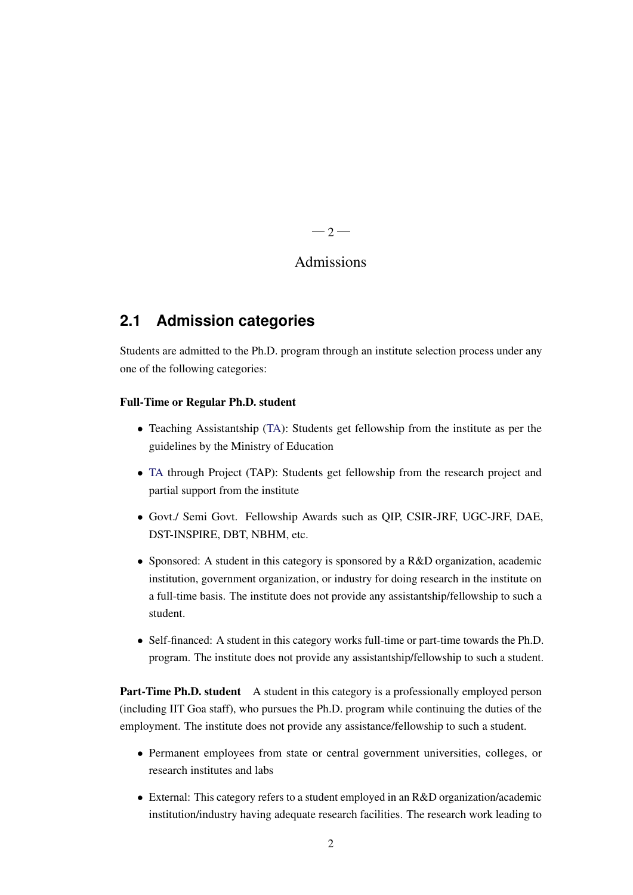$-2-$ 

#### Admissions

## <span id="page-8-2"></span><span id="page-8-1"></span><span id="page-8-0"></span>**2.1 Admission categories**

Students are admitted to the Ph.D. program through an institute selection process under any one of the following categories:

#### Full-Time or Regular Ph.D. student

- Teaching Assistantship [\(TA\)](#page-44-5): Students get fellowship from the institute as per the guidelines by the Ministry of Education
- [TA](#page-44-5) through Project (TAP): Students get fellowship from the research project and partial support from the institute
- Govt./ Semi Govt. Fellowship Awards such as QIP, CSIR-JRF, UGC-JRF, DAE, DST-INSPIRE, DBT, NBHM, etc.
- Sponsored: A student in this category is sponsored by a R&D organization, academic institution, government organization, or industry for doing research in the institute on a full-time basis. The institute does not provide any assistantship/fellowship to such a student.
- Self-financed: A student in this category works full-time or part-time towards the Ph.D. program. The institute does not provide any assistantship/fellowship to such a student.

Part-Time Ph.D. student A student in this category is a professionally employed person (including IIT Goa staff), who pursues the Ph.D. program while continuing the duties of the employment. The institute does not provide any assistance/fellowship to such a student.

- Permanent employees from state or central government universities, colleges, or research institutes and labs
- External: This category refers to a student employed in an R&D organization/academic institution/industry having adequate research facilities. The research work leading to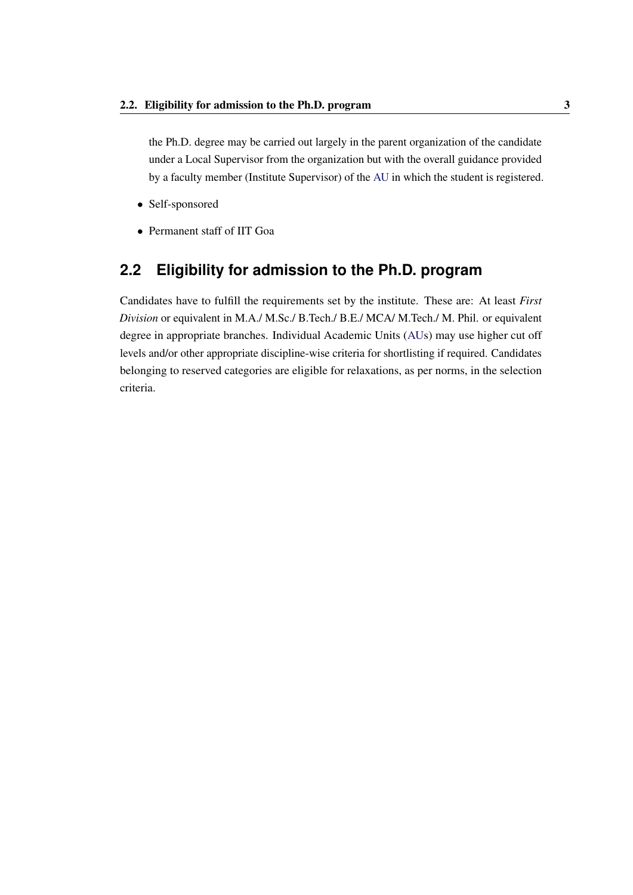<span id="page-9-1"></span>the Ph.D. degree may be carried out largely in the parent organization of the candidate under a Local Supervisor from the organization but with the overall guidance provided by a faculty member (Institute Supervisor) of the [AU](#page-44-3) in which the student is registered.

- Self-sponsored
- Permanent staff of IIT Goa

# <span id="page-9-0"></span>**2.2 Eligibility for admission to the Ph.D. program**

Candidates have to fulfill the requirements set by the institute. These are: At least *First Division* or equivalent in M.A./ M.Sc./ B.Tech./ B.E./ MCA/ M.Tech./ M. Phil. or equivalent degree in appropriate branches. Individual Academic Units [\(AUs](#page-44-3)) may use higher cut off levels and/or other appropriate discipline-wise criteria for shortlisting if required. Candidates belonging to reserved categories are eligible for relaxations, as per norms, in the selection criteria.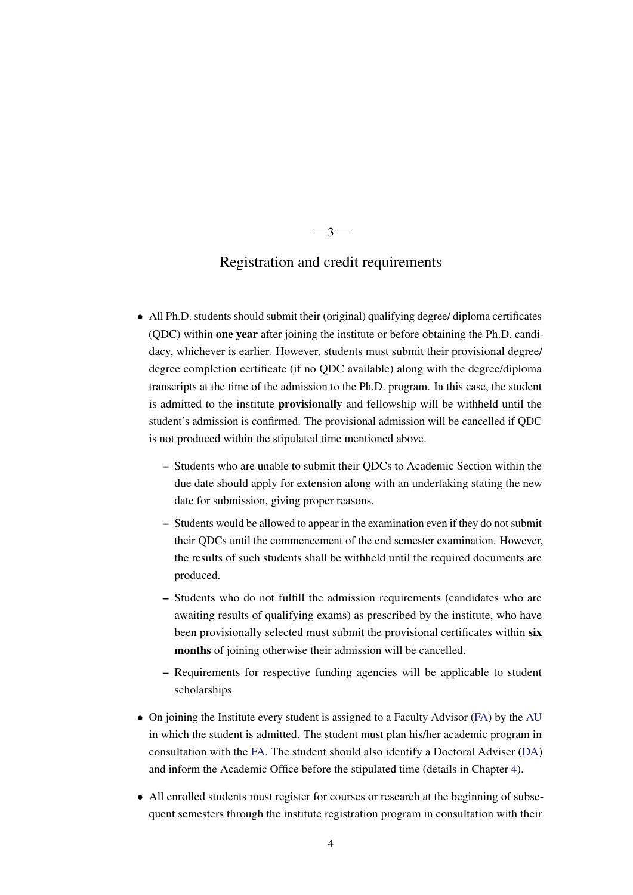# <span id="page-10-1"></span><span id="page-10-0"></span>Registration and credit requirements

 $-3-$ 

- All Ph.D. students should submit their (original) qualifying degree/ diploma certificates (QDC) within one year after joining the institute or before obtaining the Ph.D. candidacy, whichever is earlier. However, students must submit their provisional degree/ degree completion certificate (if no QDC available) along with the degree/diploma transcripts at the time of the admission to the Ph.D. program. In this case, the student is admitted to the institute provisionally and fellowship will be withheld until the student's admission is confirmed. The provisional admission will be cancelled if QDC is not produced within the stipulated time mentioned above.
	- Students who are unable to submit their QDCs to Academic Section within the due date should apply for extension along with an undertaking stating the new date for submission, giving proper reasons.
	- Students would be allowed to appear in the examination even if they do not submit their QDCs until the commencement of the end semester examination. However, the results of such students shall be withheld until the required documents are produced.
	- Students who do not fulfill the admission requirements (candidates who are awaiting results of qualifying exams) as prescribed by the institute, who have been provisionally selected must submit the provisional certificates within six months of joining otherwise their admission will be cancelled.
	- Requirements for respective funding agencies will be applicable to student scholarships
- On joining the Institute every student is assigned to a Faculty Advisor [\(FA\)](#page-44-6) by the [AU](#page-44-3) in which the student is admitted. The student must plan his/her academic program in consultation with the [FA.](#page-44-6) The student should also identify a Doctoral Adviser [\(DA\)](#page-44-7) and inform the Academic Office before the stipulated time (details in Chapter [4\)](#page-16-0).
- All enrolled students must register for courses or research at the beginning of subsequent semesters through the institute registration program in consultation with their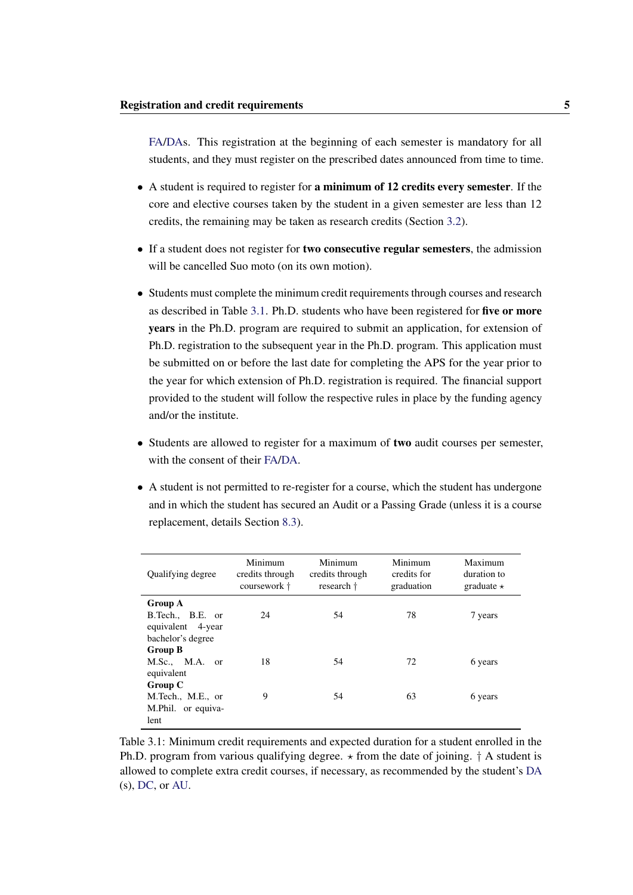<span id="page-11-1"></span>[FA/](#page-44-6)[DAs](#page-44-7). This registration at the beginning of each semester is mandatory for all students, and they must register on the prescribed dates announced from time to time.

- A student is required to register for a minimum of 12 credits every semester. If the core and elective courses taken by the student in a given semester are less than 12 credits, the remaining may be taken as research credits (Section [3.2\)](#page-14-0).
- If a student does not register for two consecutive regular semesters, the admission will be cancelled Suo moto (on its own motion).
- Students must complete the minimum credit requirements through courses and research as described in Table [3.1.](#page-11-0) Ph.D. students who have been registered for five or more years in the Ph.D. program are required to submit an application, for extension of Ph.D. registration to the subsequent year in the Ph.D. program. This application must be submitted on or before the last date for completing the APS for the year prior to the year for which extension of Ph.D. registration is required. The financial support provided to the student will follow the respective rules in place by the funding agency and/or the institute.
- Students are allowed to register for a maximum of **two** audit courses per semester, with the consent of their [FA/](#page-44-6)[DA.](#page-44-7)
- A student is not permitted to re-register for a course, which the student has undergone and in which the student has secured an Audit or a Passing Grade (unless it is a course replacement, details Section [8.3\)](#page-28-0).

| Qualifying degree                                                            | Minimum<br>credits through<br>coursework † | Minimum<br>credits through<br>research † | Minimum<br>credits for<br>graduation | Maximum<br>duration to<br>graduate $\star$ |
|------------------------------------------------------------------------------|--------------------------------------------|------------------------------------------|--------------------------------------|--------------------------------------------|
| <b>Group A</b><br>B.Tech., B.E. or<br>equivalent 4-year<br>bachelor's degree | 24                                         | 54                                       | 78                                   | 7 years                                    |
| <b>Group B</b><br>M.Sc., M.A. or<br>equivalent                               | 18                                         | 54                                       | 72                                   | 6 years                                    |
| Group C<br>M.Tech., M.E., or<br>M.Phil. or equiva-<br>lent                   | 9                                          | 54                                       | 63                                   | 6 years                                    |

<span id="page-11-0"></span>Table 3.1: Minimum credit requirements and expected duration for a student enrolled in the Ph.D. program from various qualifying degree.  $\star$  from the date of joining.  $\dagger$  A student is allowed to complete extra credit courses, if necessary, as recommended by the student's [DA](#page-44-7) (s), [DC,](#page-44-4) or [AU.](#page-44-3)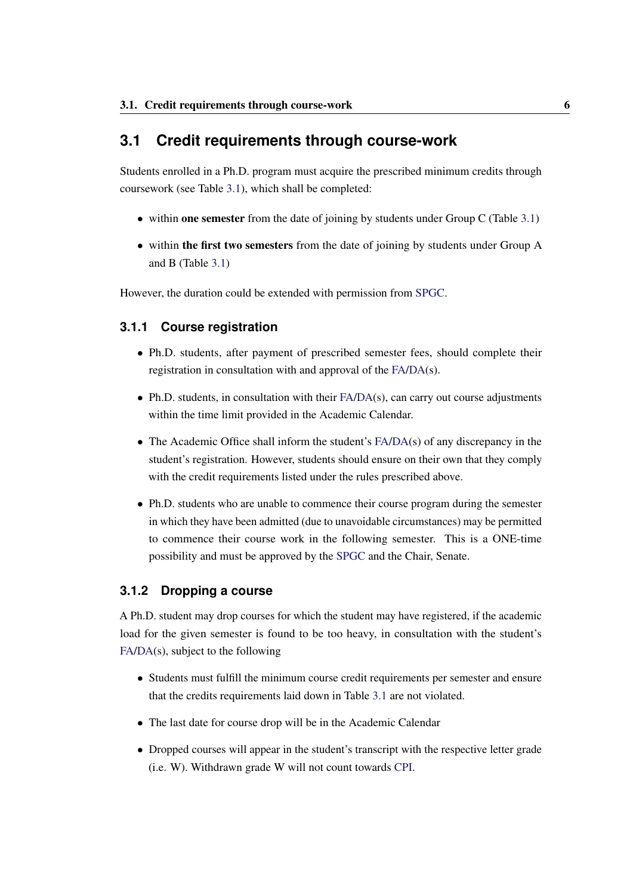#### <span id="page-12-3"></span><span id="page-12-0"></span>**3.1 Credit requirements through course-work**

Students enrolled in a Ph.D. program must acquire the prescribed minimum credits through coursework (see Table [3.1\)](#page-11-0), which shall be completed:

- within one semester from the date of joining by students under Group C (Table [3.1\)](#page-11-0)
- within the first two semesters from the date of joining by students under Group A and B (Table [3.1\)](#page-11-0)

However, the duration could be extended with permission from [SPGC.](#page-44-1)

#### <span id="page-12-1"></span>**3.1.1 Course registration**

- Ph.D. students, after payment of prescribed semester fees, should complete their registration in consultation with and approval of the [FA/](#page-44-6)[DA\(](#page-44-7)s).
- Ph.D. students, in consultation with their [FA/](#page-44-6)[DA\(](#page-44-7)s), can carry out course adjustments within the time limit provided in the Academic Calendar.
- The Academic Office shall inform the student's [FA/](#page-44-6)[DA\(](#page-44-7)s) of any discrepancy in the student's registration. However, students should ensure on their own that they comply with the credit requirements listed under the rules prescribed above.
- Ph.D. students who are unable to commence their course program during the semester in which they have been admitted (due to unavoidable circumstances) may be permitted to commence their course work in the following semester. This is a ONE-time possibility and must be approved by the [SPGC](#page-44-1) and the Chair, Senate.

#### <span id="page-12-2"></span>**3.1.2 Dropping a course**

A Ph.D. student may drop courses for which the student may have registered, if the academic load for the given semester is found to be too heavy, in consultation with the student's [FA/](#page-44-6)[DA\(](#page-44-7)s), subject to the following

- Students must fulfill the minimum course credit requirements per semester and ensure that the credits requirements laid down in Table [3.1](#page-11-0) are not violated.
- The last date for course drop will be in the Academic Calendar
- Dropped courses will appear in the student's transcript with the respective letter grade (i.e. W). Withdrawn grade W will not count towards [CPI.](#page-44-8)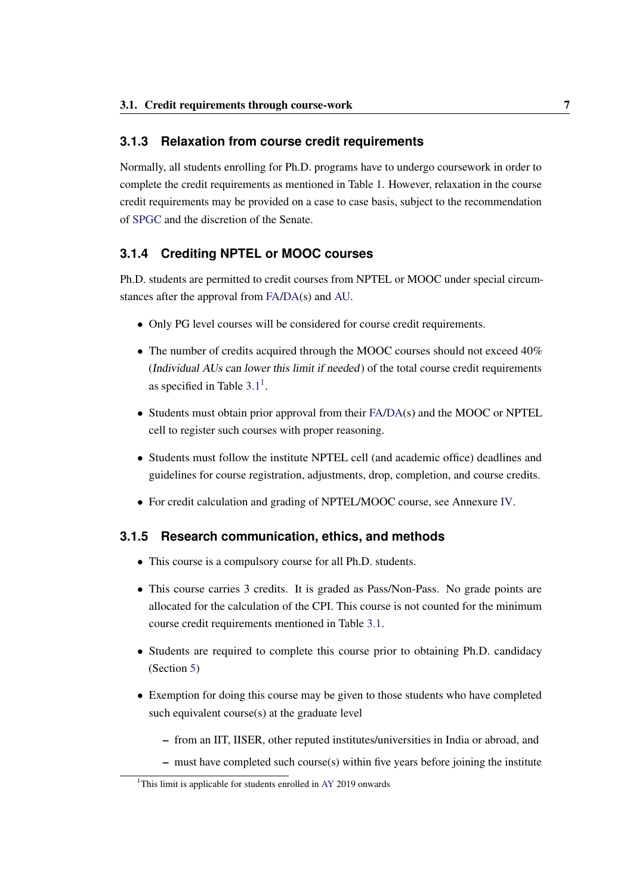#### <span id="page-13-4"></span><span id="page-13-0"></span>**3.1.3 Relaxation from course credit requirements**

Normally, all students enrolling for Ph.D. programs have to undergo coursework in order to complete the credit requirements as mentioned in Table 1. However, relaxation in the course credit requirements may be provided on a case to case basis, subject to the recommendation of [SPGC](#page-44-1) and the discretion of the Senate.

#### <span id="page-13-1"></span>**3.1.4 Crediting NPTEL or MOOC courses**

Ph.D. students are permitted to credit courses from NPTEL or MOOC under special circumstances after the approval from [FA](#page-44-6)[/DA\(](#page-44-7)s) and [AU.](#page-44-3)

- Only PG level courses will be considered for course credit requirements.
- The number of credits acquired through the MOOC courses should not exceed 40% (Individual AUs can lower this limit if needed) of the total course credit requirements as specified in Table  $3.1<sup>1</sup>$  $3.1<sup>1</sup>$  $3.1<sup>1</sup>$  $3.1<sup>1</sup>$ .
- Students must obtain prior approval from their [FA/](#page-44-6)[DA\(](#page-44-7)s) and the MOOC or NPTEL cell to register such courses with proper reasoning.
- Students must follow the institute NPTEL cell (and academic office) deadlines and guidelines for course registration, adjustments, drop, completion, and course credits.
- For credit calculation and grading of NPTEL/MOOC course, see Annexure [IV.](#page-42-0)

#### <span id="page-13-2"></span>**3.1.5 Research communication, ethics, and methods**

- This course is a compulsory course for all Ph.D. students.
- This course carries 3 credits. It is graded as Pass/Non-Pass. No grade points are allocated for the calculation of the CPI. This course is not counted for the minimum course credit requirements mentioned in Table [3.1.](#page-11-0)
- Students are required to complete this course prior to obtaining Ph.D. candidacy (Section [5\)](#page-18-2)
- Exemption for doing this course may be given to those students who have completed such equivalent course(s) at the graduate level
	- from an IIT, IISER, other reputed institutes/universities in India or abroad, and
	- must have completed such course(s) within five years before joining the institute

<span id="page-13-3"></span><sup>&</sup>lt;sup>1</sup>This limit is applicable for students enrolled in [AY](#page-44-9) 2019 onwards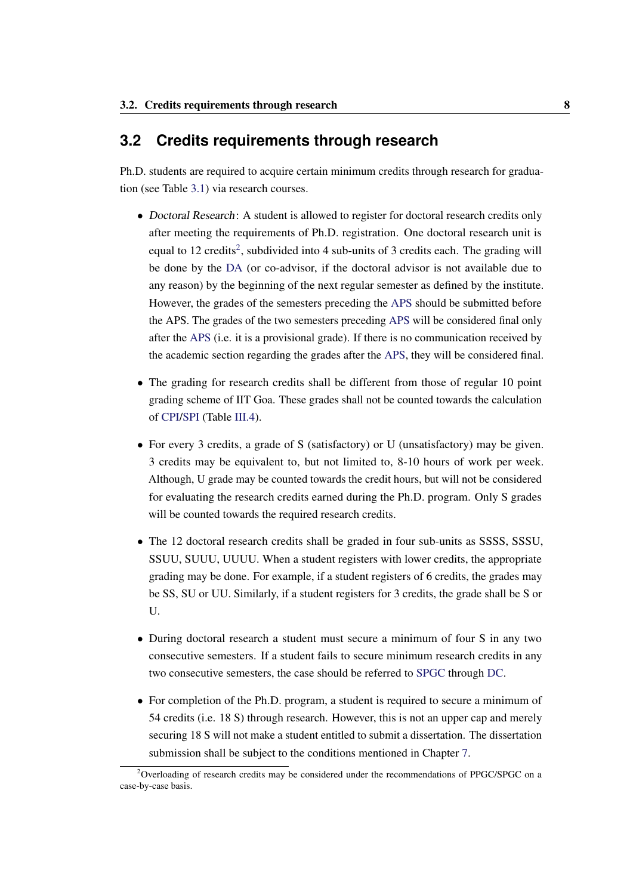#### <span id="page-14-2"></span><span id="page-14-0"></span>**3.2 Credits requirements through research**

Ph.D. students are required to acquire certain minimum credits through research for graduation (see Table [3.1\)](#page-11-0) via research courses.

- Doctoral Research: A student is allowed to register for doctoral research credits only after meeting the requirements of Ph.D. registration. One doctoral research unit is equal to 1[2](#page-14-1) credits<sup>2</sup>, subdivided into 4 sub-units of 3 credits each. The grading will be done by the [DA](#page-44-7) (or co-advisor, if the doctoral advisor is not available due to any reason) by the beginning of the next regular semester as defined by the institute. However, the grades of the semesters preceding the [APS](#page-44-10) should be submitted before the APS. The grades of the two semesters preceding [APS](#page-44-10) will be considered final only after the [APS](#page-44-10) (i.e. it is a provisional grade). If there is no communication received by the academic section regarding the grades after the [APS,](#page-44-10) they will be considered final.
- The grading for research credits shall be different from those of regular 10 point grading scheme of IIT Goa. These grades shall not be counted towards the calculation of [CPI/](#page-44-8)[SPI](#page-44-11) (Table [III.4\)](#page-41-0).
- For every 3 credits, a grade of S (satisfactory) or U (unsatisfactory) may be given. 3 credits may be equivalent to, but not limited to, 8-10 hours of work per week. Although, U grade may be counted towards the credit hours, but will not be considered for evaluating the research credits earned during the Ph.D. program. Only S grades will be counted towards the required research credits.
- The 12 doctoral research credits shall be graded in four sub-units as SSSS, SSSU, SSUU, SUUU, UUUU. When a student registers with lower credits, the appropriate grading may be done. For example, if a student registers of 6 credits, the grades may be SS, SU or UU. Similarly, if a student registers for 3 credits, the grade shall be S or U.
- During doctoral research a student must secure a minimum of four S in any two consecutive semesters. If a student fails to secure minimum research credits in any two consecutive semesters, the case should be referred to [SPGC](#page-44-1) through [DC.](#page-44-4)
- For completion of the Ph.D. program, a student is required to secure a minimum of 54 credits (i.e. 18 S) through research. However, this is not an upper cap and merely securing 18 S will not make a student entitled to submit a dissertation. The dissertation submission shall be subject to the conditions mentioned in Chapter [7.](#page-22-0)

<span id="page-14-1"></span><sup>&</sup>lt;sup>2</sup>Overloading of research credits may be considered under the recommendations of PPGC/SPGC on a case-by-case basis.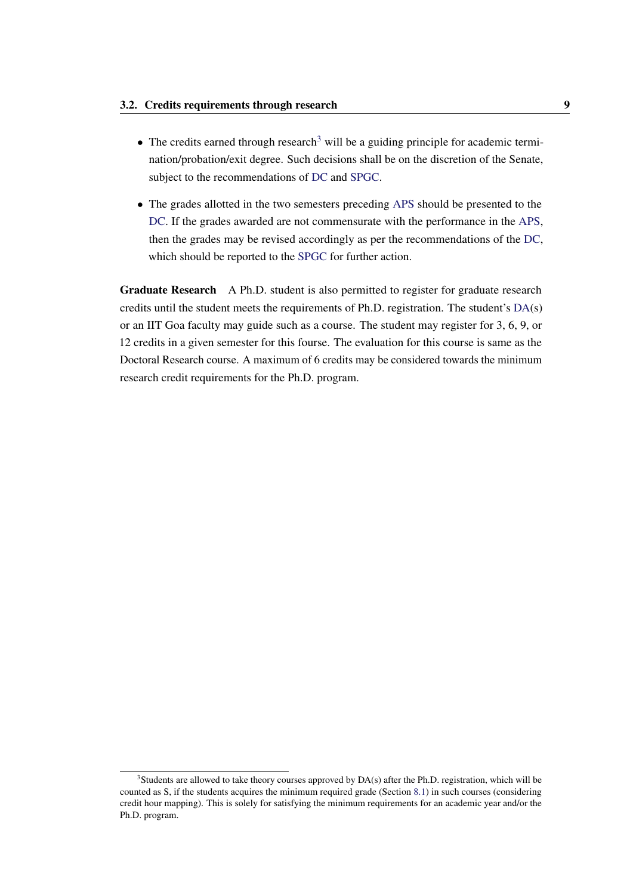- <span id="page-15-1"></span> $\bullet$  The credits earned through research<sup>[3](#page-15-0)</sup> will be a guiding principle for academic termination/probation/exit degree. Such decisions shall be on the discretion of the Senate, subject to the recommendations of [DC](#page-44-4) and [SPGC.](#page-44-1)
- The grades allotted in the two semesters preceding [APS](#page-44-10) should be presented to the [DC.](#page-44-4) If the grades awarded are not commensurate with the performance in the [APS,](#page-44-10) then the grades may be revised accordingly as per the recommendations of the [DC,](#page-44-4) which should be reported to the [SPGC](#page-44-1) for further action.

Graduate Research A Ph.D. student is also permitted to register for graduate research credits until the student meets the requirements of Ph.D. registration. The student's [DA\(](#page-44-7)s) or an IIT Goa faculty may guide such as a course. The student may register for 3, 6, 9, or 12 credits in a given semester for this fourse. The evaluation for this course is same as the Doctoral Research course. A maximum of 6 credits may be considered towards the minimum research credit requirements for the Ph.D. program.

<span id="page-15-0"></span><sup>&</sup>lt;sup>3</sup>Students are allowed to take theory courses approved by DA(s) after the Ph.D. registration, which will be counted as S, if the students acquires the minimum required grade (Section [8.1\)](#page-27-1) in such courses (considering credit hour mapping). This is solely for satisfying the minimum requirements for an academic year and/or the Ph.D. program.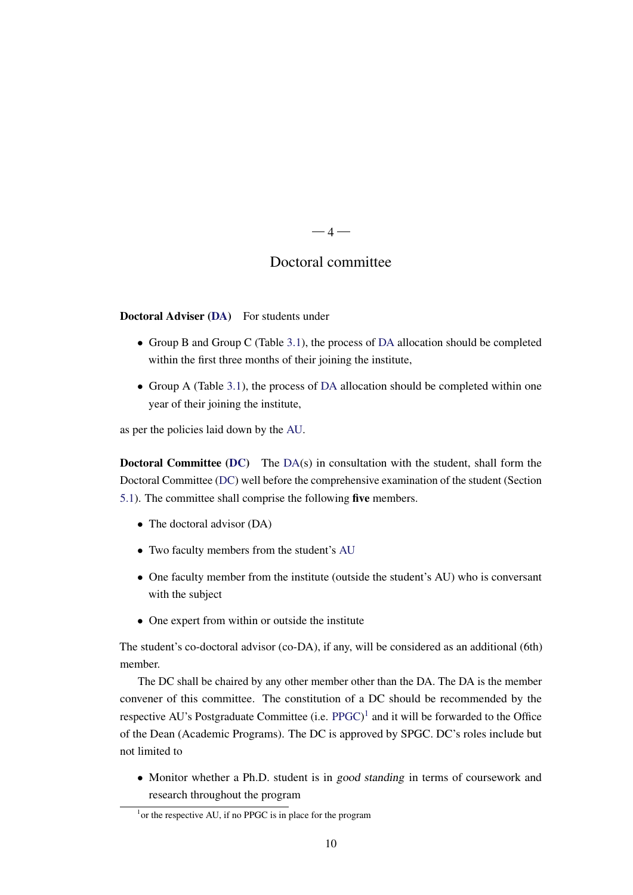#### $-4-$

#### Doctoral committee

#### <span id="page-16-2"></span><span id="page-16-0"></span>Doctoral Adviser [\(DA\)](#page-44-7) For students under

- Group B and Group C (Table [3.1\)](#page-11-0), the process of [DA](#page-44-7) allocation should be completed within the first three months of their joining the institute,
- Group A (Table [3.1\)](#page-11-0), the process of [DA](#page-44-7) allocation should be completed within one year of their joining the institute,

as per the policies laid down by the [AU.](#page-44-3)

**Doctoral Committee [\(DC\)](#page-44-4)** The  $DA(s)$  $DA(s)$  in consultation with the student, shall form the Doctoral Committee [\(DC\)](#page-44-4) well before the comprehensive examination of the student (Section [5.1\)](#page-18-0). The committee shall comprise the following five members.

- The doctoral advisor (DA)
- Two faculty members from the student's [AU](#page-44-3)
- One faculty member from the institute (outside the student's AU) who is conversant with the subject
- One expert from within or outside the institute

The student's co-doctoral advisor (co-DA), if any, will be considered as an additional (6th) member.

The DC shall be chaired by any other member other than the DA. The DA is the member convener of this committee. The constitution of a DC should be recommended by the respective AU's Postgraduate Committee (i.e.  $PPGC$ )<sup>[1](#page-16-1)</sup> and it will be forwarded to the Office of the Dean (Academic Programs). The DC is approved by SPGC. DC's roles include but not limited to

• Monitor whether a Ph.D. student is in good standing in terms of coursework and research throughout the program

<span id="page-16-1"></span> $<sup>1</sup>$  or the respective AU, if no PPGC is in place for the program</sup>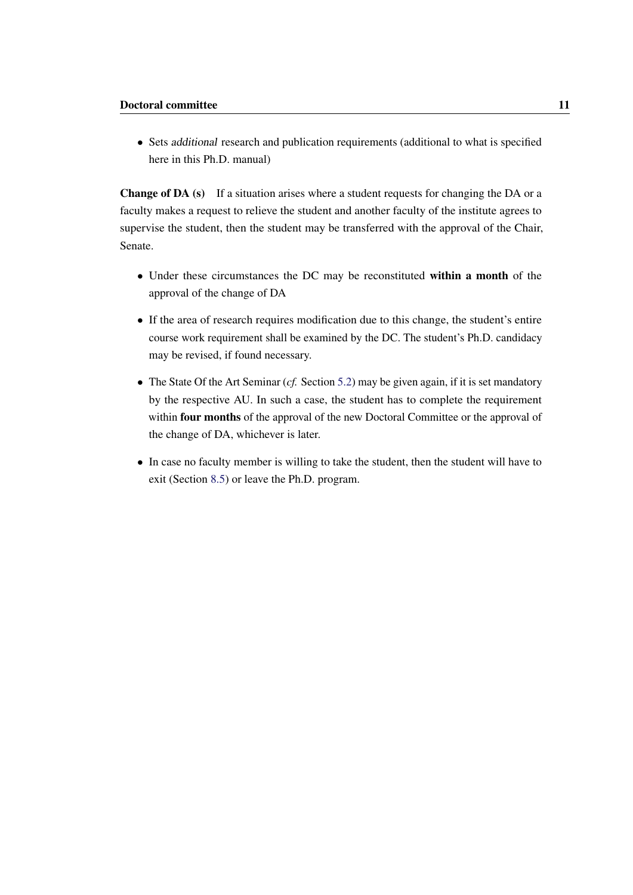• Sets additional research and publication requirements (additional to what is specified here in this Ph.D. manual)

**Change of DA**  $(s)$  If a situation arises where a student requests for changing the DA or a faculty makes a request to relieve the student and another faculty of the institute agrees to supervise the student, then the student may be transferred with the approval of the Chair, Senate.

- Under these circumstances the DC may be reconstituted within a month of the approval of the change of DA
- If the area of research requires modification due to this change, the student's entire course work requirement shall be examined by the DC. The student's Ph.D. candidacy may be revised, if found necessary.
- The State Of the Art Seminar (*cf.* Section [5.2\)](#page-18-1) may be given again, if it is set mandatory by the respective AU. In such a case, the student has to complete the requirement within **four months** of the approval of the new Doctoral Committee or the approval of the change of DA, whichever is later.
- In case no faculty member is willing to take the student, then the student will have to exit (Section [8.5\)](#page-29-0) or leave the Ph.D. program.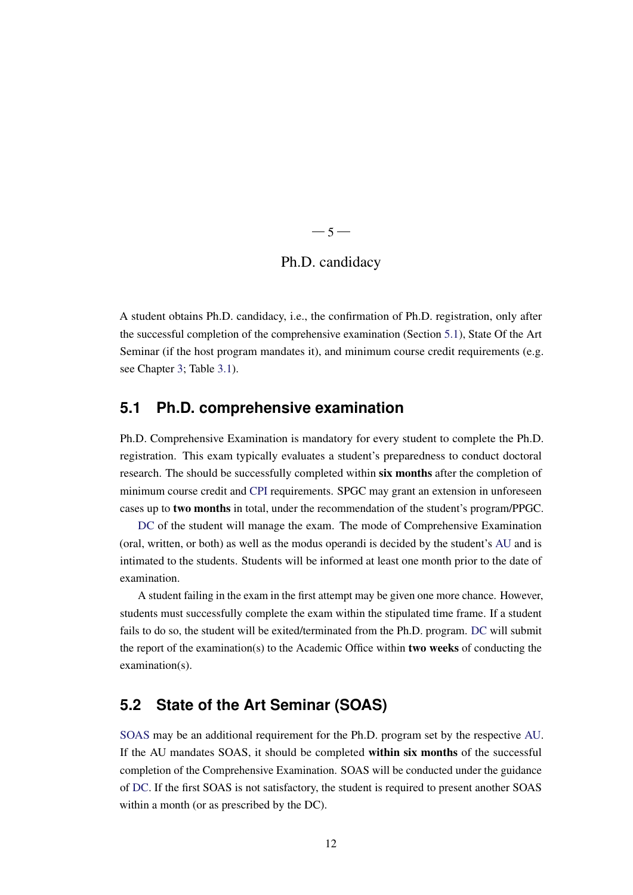# $-5-$

#### Ph.D. candidacy

<span id="page-18-3"></span><span id="page-18-2"></span>A student obtains Ph.D. candidacy, i.e., the confirmation of Ph.D. registration, only after the successful completion of the comprehensive examination (Section [5.1\)](#page-18-0), State Of the Art Seminar (if the host program mandates it), and minimum course credit requirements (e.g. see Chapter [3;](#page-10-0) Table [3.1\)](#page-11-0).

#### <span id="page-18-0"></span>**5.1 Ph.D. comprehensive examination**

Ph.D. Comprehensive Examination is mandatory for every student to complete the Ph.D. registration. This exam typically evaluates a student's preparedness to conduct doctoral research. The should be successfully completed within six months after the completion of minimum course credit and [CPI](#page-44-8) requirements. SPGC may grant an extension in unforeseen cases up to two months in total, under the recommendation of the student's program/PPGC.

[DC](#page-44-4) of the student will manage the exam. The mode of Comprehensive Examination (oral, written, or both) as well as the modus operandi is decided by the student's [AU](#page-44-3) and is intimated to the students. Students will be informed at least one month prior to the date of examination.

A student failing in the exam in the first attempt may be given one more chance. However, students must successfully complete the exam within the stipulated time frame. If a student fails to do so, the student will be exited/terminated from the Ph.D. program. [DC](#page-44-4) will submit the report of the examination(s) to the Academic Office within two weeks of conducting the examination(s).

#### <span id="page-18-1"></span>**5.2 State of the Art Seminar (SOAS)**

[SOAS](#page-44-13) may be an additional requirement for the Ph.D. program set by the respective [AU.](#page-44-3) If the AU mandates SOAS, it should be completed within six months of the successful completion of the Comprehensive Examination. SOAS will be conducted under the guidance of [DC.](#page-44-4) If the first SOAS is not satisfactory, the student is required to present another SOAS within a month (or as prescribed by the DC).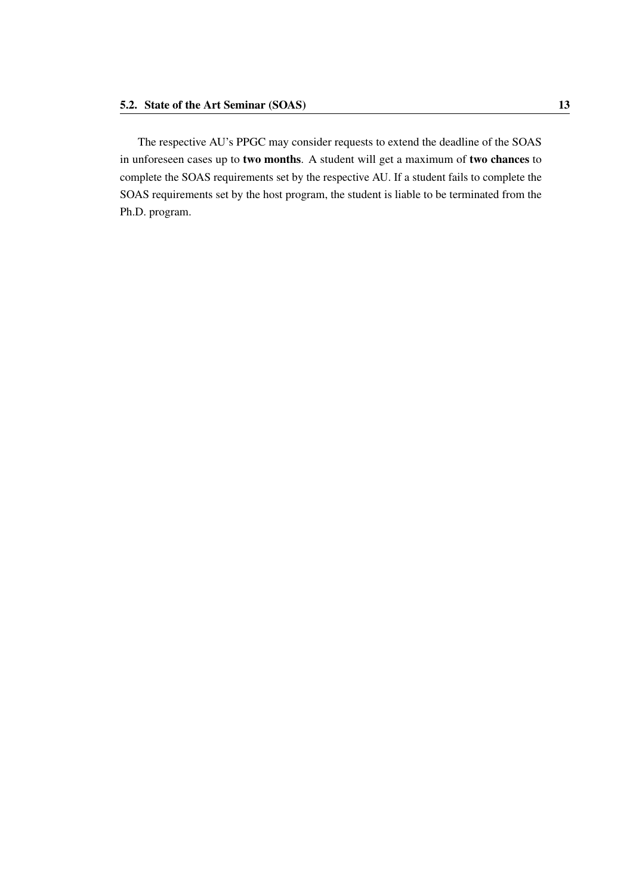The respective AU's PPGC may consider requests to extend the deadline of the SOAS in unforeseen cases up to two months. A student will get a maximum of two chances to complete the SOAS requirements set by the respective AU. If a student fails to complete the SOAS requirements set by the host program, the student is liable to be terminated from the Ph.D. program.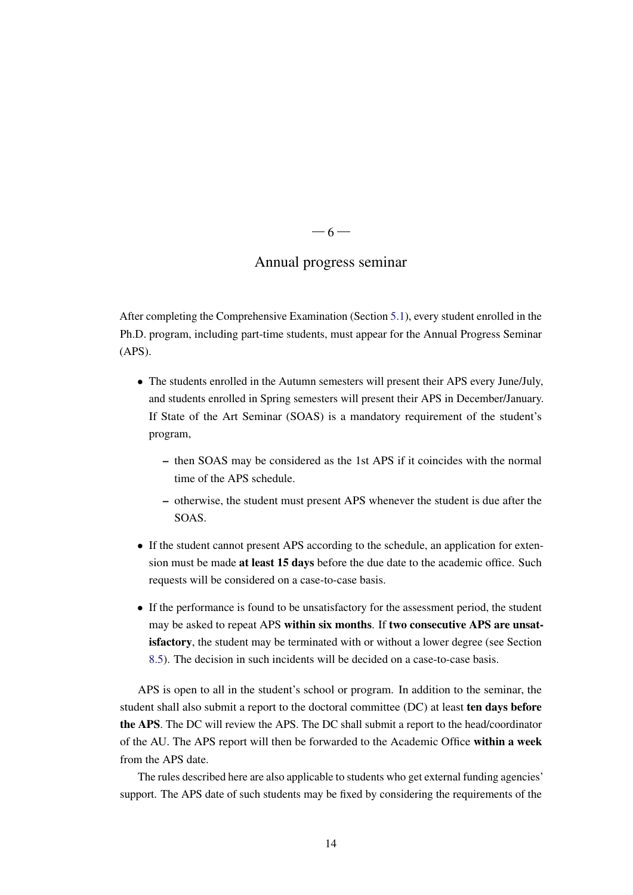# $-6-$

#### Annual progress seminar

<span id="page-20-0"></span>After completing the Comprehensive Examination (Section [5.1\)](#page-18-0), every student enrolled in the Ph.D. program, including part-time students, must appear for the Annual Progress Seminar (APS).

- The students enrolled in the Autumn semesters will present their APS every June/July, and students enrolled in Spring semesters will present their APS in December/January. If State of the Art Seminar (SOAS) is a mandatory requirement of the student's program,
	- then SOAS may be considered as the 1st APS if it coincides with the normal time of the APS schedule.
	- otherwise, the student must present APS whenever the student is due after the SOAS.
- If the student cannot present APS according to the schedule, an application for extension must be made at least 15 days before the due date to the academic office. Such requests will be considered on a case-to-case basis.
- If the performance is found to be unsatisfactory for the assessment period, the student may be asked to repeat APS within six months. If two consecutive APS are unsatisfactory, the student may be terminated with or without a lower degree (see Section [8.5\)](#page-29-0). The decision in such incidents will be decided on a case-to-case basis.

APS is open to all in the student's school or program. In addition to the seminar, the student shall also submit a report to the doctoral committee (DC) at least ten days before the APS. The DC will review the APS. The DC shall submit a report to the head/coordinator of the AU. The APS report will then be forwarded to the Academic Office within a week from the APS date.

The rules described here are also applicable to students who get external funding agencies' support. The APS date of such students may be fixed by considering the requirements of the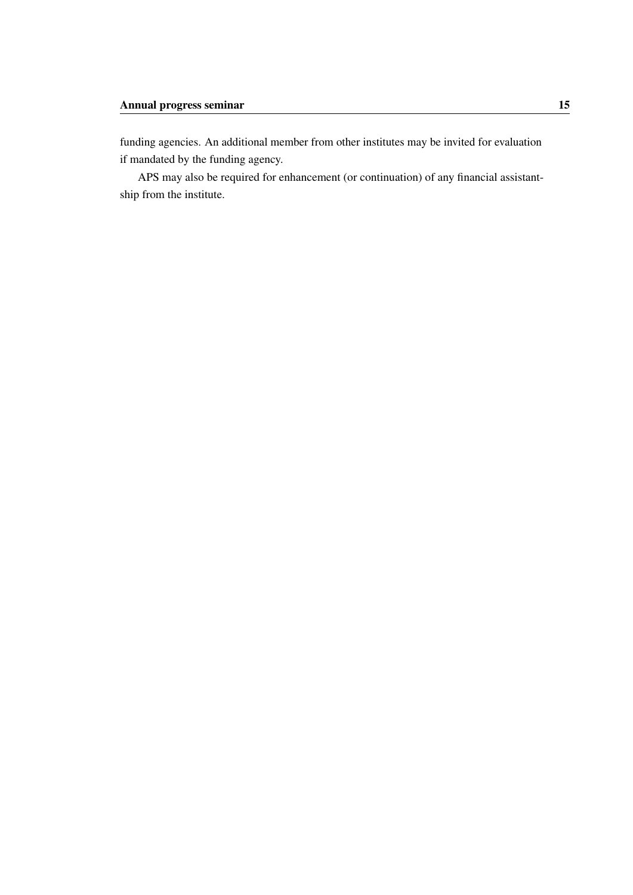funding agencies. An additional member from other institutes may be invited for evaluation if mandated by the funding agency.

APS may also be required for enhancement (or continuation) of any financial assistantship from the institute.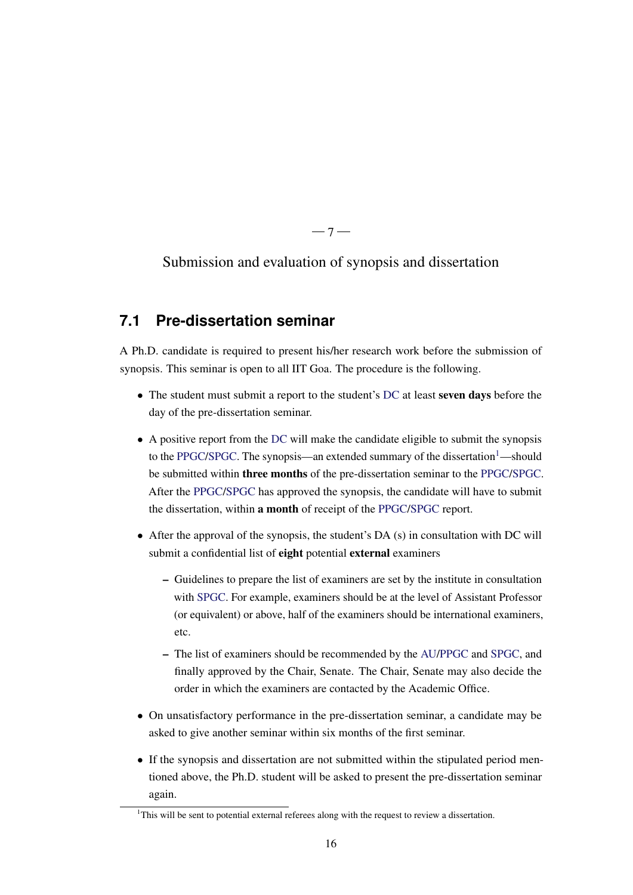<span id="page-22-3"></span><span id="page-22-0"></span>Submission and evaluation of synopsis and dissertation

 $-7-$ 

# <span id="page-22-1"></span>**7.1 Pre-dissertation seminar**

A Ph.D. candidate is required to present his/her research work before the submission of synopsis. This seminar is open to all IIT Goa. The procedure is the following.

- The student must submit a report to the student's [DC](#page-44-4) at least seven days before the day of the pre-dissertation seminar.
- A positive report from the [DC](#page-44-4) will make the candidate eligible to submit the synopsis to the [PPGC](#page-44-12)[/SPGC.](#page-44-1) The synopsis—an extended summary of the dissertation<sup>[1](#page-22-2)</sup>—should be submitted within three months of the pre-dissertation seminar to the [PPGC](#page-44-12)[/SPGC.](#page-44-1) After the [PPGC/](#page-44-12)[SPGC](#page-44-1) has approved the synopsis, the candidate will have to submit the dissertation, within a month of receipt of the [PPGC](#page-44-12)[/SPGC](#page-44-1) report.
- After the approval of the synopsis, the student's DA (s) in consultation with DC will submit a confidential list of **eight** potential **external** examiners
	- Guidelines to prepare the list of examiners are set by the institute in consultation with [SPGC.](#page-44-1) For example, examiners should be at the level of Assistant Professor (or equivalent) or above, half of the examiners should be international examiners, etc.
	- The list of examiners should be recommended by the [AU/](#page-44-3)[PPGC](#page-44-12) and [SPGC,](#page-44-1) and finally approved by the Chair, Senate. The Chair, Senate may also decide the order in which the examiners are contacted by the Academic Office.
- On unsatisfactory performance in the pre-dissertation seminar, a candidate may be asked to give another seminar within six months of the first seminar.
- If the synopsis and dissertation are not submitted within the stipulated period mentioned above, the Ph.D. student will be asked to present the pre-dissertation seminar again.

<span id="page-22-2"></span> $1$ This will be sent to potential external referees along with the request to review a dissertation.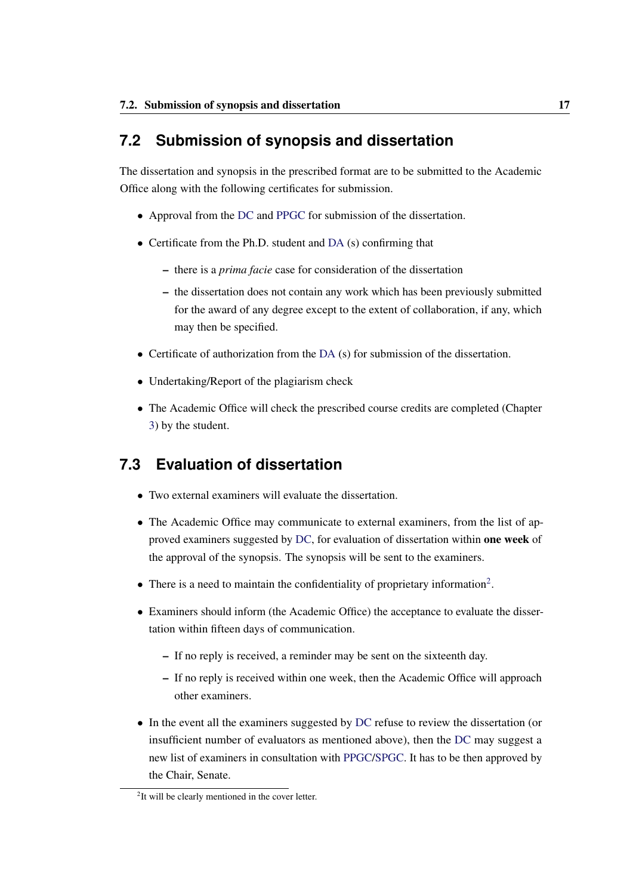## <span id="page-23-3"></span><span id="page-23-0"></span>**7.2 Submission of synopsis and dissertation**

The dissertation and synopsis in the prescribed format are to be submitted to the Academic Office along with the following certificates for submission.

- Approval from the [DC](#page-44-4) and [PPGC](#page-44-12) for submission of the dissertation.
- Certificate from the Ph.D. student and [DA](#page-44-7) (s) confirming that
	- there is a *prima facie* case for consideration of the dissertation
	- the dissertation does not contain any work which has been previously submitted for the award of any degree except to the extent of collaboration, if any, which may then be specified.
- Certificate of authorization from the [DA](#page-44-7) (s) for submission of the dissertation.
- Undertaking/Report of the plagiarism check
- The Academic Office will check the prescribed course credits are completed (Chapter [3\)](#page-10-0) by the student.

## <span id="page-23-1"></span>**7.3 Evaluation of dissertation**

- Two external examiners will evaluate the dissertation.
- The Academic Office may communicate to external examiners, from the list of approved examiners suggested by [DC,](#page-44-4) for evaluation of dissertation within one week of the approval of the synopsis. The synopsis will be sent to the examiners.
- There is a need to maintain the confidentiality of proprietary information<sup>[2](#page-23-2)</sup>.
- Examiners should inform (the Academic Office) the acceptance to evaluate the dissertation within fifteen days of communication.
	- If no reply is received, a reminder may be sent on the sixteenth day.
	- If no reply is received within one week, then the Academic Office will approach other examiners.
- In the event all the examiners suggested by [DC](#page-44-4) refuse to review the dissertation (or insufficient number of evaluators as mentioned above), then the [DC](#page-44-4) may suggest a new list of examiners in consultation with [PPGC/](#page-44-12)[SPGC.](#page-44-1) It has to be then approved by the Chair, Senate.

<span id="page-23-2"></span><sup>&</sup>lt;sup>2</sup>It will be clearly mentioned in the cover letter.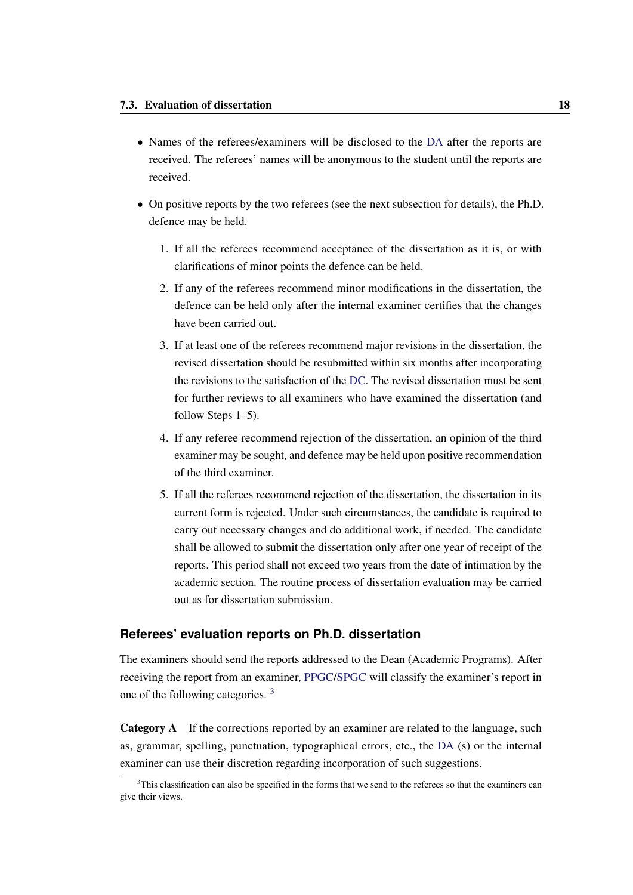- Names of the referees/examiners will be disclosed to the [DA](#page-44-7) after the reports are received. The referees' names will be anonymous to the student until the reports are received.
- On positive reports by the two referees (see the next subsection for details), the Ph.D. defence may be held.
	- 1. If all the referees recommend acceptance of the dissertation as it is, or with clarifications of minor points the defence can be held.
	- 2. If any of the referees recommend minor modifications in the dissertation, the defence can be held only after the internal examiner certifies that the changes have been carried out.
	- 3. If at least one of the referees recommend major revisions in the dissertation, the revised dissertation should be resubmitted within six months after incorporating the revisions to the satisfaction of the [DC.](#page-44-4) The revised dissertation must be sent for further reviews to all examiners who have examined the dissertation (and follow Steps 1–5).
	- 4. If any referee recommend rejection of the dissertation, an opinion of the third examiner may be sought, and defence may be held upon positive recommendation of the third examiner.
	- 5. If all the referees recommend rejection of the dissertation, the dissertation in its current form is rejected. Under such circumstances, the candidate is required to carry out necessary changes and do additional work, if needed. The candidate shall be allowed to submit the dissertation only after one year of receipt of the reports. This period shall not exceed two years from the date of intimation by the academic section. The routine process of dissertation evaluation may be carried out as for dissertation submission.

#### **Referees' evaluation reports on Ph.D. dissertation**

The examiners should send the reports addressed to the Dean (Academic Programs). After receiving the report from an examiner, [PPGC/](#page-44-12)[SPGC](#page-44-1) will classify the examiner's report in one of the following categories. [3](#page-24-0)

Category A If the corrections reported by an examiner are related to the language, such as, grammar, spelling, punctuation, typographical errors, etc., the [DA](#page-44-7) (s) or the internal examiner can use their discretion regarding incorporation of such suggestions.

<span id="page-24-0"></span><sup>&</sup>lt;sup>3</sup>This classification can also be specified in the forms that we send to the referees so that the examiners can give their views.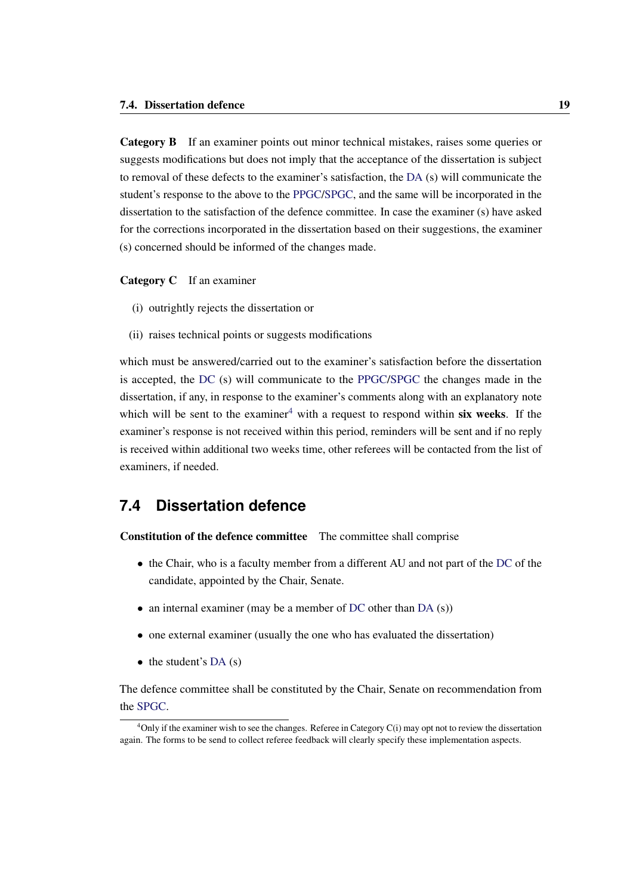<span id="page-25-2"></span>Category **B** If an examiner points out minor technical mistakes, raises some queries or suggests modifications but does not imply that the acceptance of the dissertation is subject to removal of these defects to the examiner's satisfaction, the [DA](#page-44-7) (s) will communicate the student's response to the above to the [PPGC](#page-44-12)[/SPGC,](#page-44-1) and the same will be incorporated in the dissertation to the satisfaction of the defence committee. In case the examiner (s) have asked for the corrections incorporated in the dissertation based on their suggestions, the examiner (s) concerned should be informed of the changes made.

Category C If an examiner

- (i) outrightly rejects the dissertation or
- (ii) raises technical points or suggests modifications

which must be answered/carried out to the examiner's satisfaction before the dissertation is accepted, the [DC](#page-44-4) (s) will communicate to the [PPGC](#page-44-12)[/SPGC](#page-44-1) the changes made in the dissertation, if any, in response to the examiner's comments along with an explanatory note which will be sent to the examiner<sup>[4](#page-25-1)</sup> with a request to respond within six weeks. If the examiner's response is not received within this period, reminders will be sent and if no reply is received within additional two weeks time, other referees will be contacted from the list of examiners, if needed.

#### <span id="page-25-0"></span>**7.4 Dissertation defence**

Constitution of the defence committee The committee shall comprise

- the Chair, who is a faculty member from a different AU and not part of the [DC](#page-44-4) of the candidate, appointed by the Chair, Senate.
- an internal examiner (may be a member of [DC](#page-44-4) other than [DA](#page-44-7) (s))
- one external examiner (usually the one who has evaluated the dissertation)
- $\bullet$  the student's [DA](#page-44-7)  $(s)$

The defence committee shall be constituted by the Chair, Senate on recommendation from the [SPGC.](#page-44-1)

<span id="page-25-1"></span> $4$ Only if the examiner wish to see the changes. Referee in Category C(i) may opt not to review the dissertation again. The forms to be send to collect referee feedback will clearly specify these implementation aspects.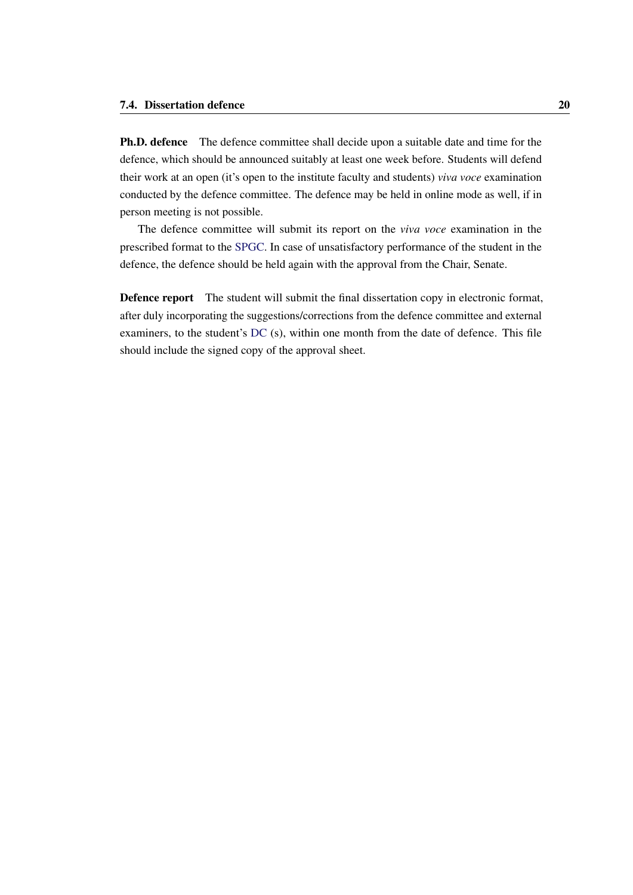<span id="page-26-0"></span>Ph.D. defence The defence committee shall decide upon a suitable date and time for the defence, which should be announced suitably at least one week before. Students will defend their work at an open (it's open to the institute faculty and students) *viva voce* examination conducted by the defence committee. The defence may be held in online mode as well, if in person meeting is not possible.

The defence committee will submit its report on the *viva voce* examination in the prescribed format to the [SPGC.](#page-44-1) In case of unsatisfactory performance of the student in the defence, the defence should be held again with the approval from the Chair, Senate.

Defence report The student will submit the final dissertation copy in electronic format, after duly incorporating the suggestions/corrections from the defence committee and external examiners, to the student's [DC](#page-44-4) (s), within one month from the date of defence. This file should include the signed copy of the approval sheet.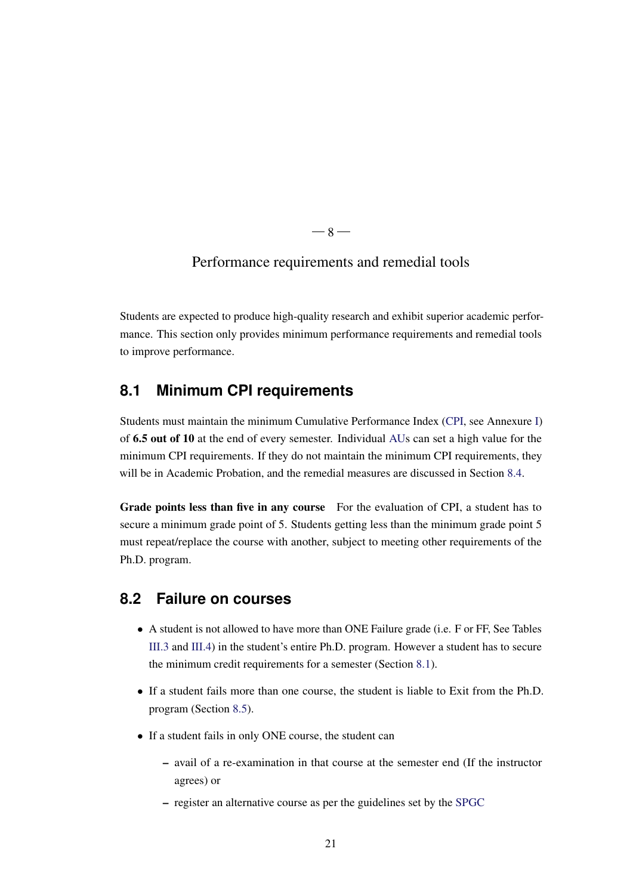$-8-$ 

#### <span id="page-27-3"></span><span id="page-27-0"></span>Performance requirements and remedial tools

Students are expected to produce high-quality research and exhibit superior academic performance. This section only provides minimum performance requirements and remedial tools to improve performance.

# <span id="page-27-1"></span>**8.1 Minimum CPI requirements**

Students must maintain the minimum Cumulative Performance Index [\(CPI,](#page-44-8) see Annexure [I\)](#page-34-0) of 6.5 out of 10 at the end of every semester. Individual [AUs](#page-44-3) can set a high value for the minimum CPI requirements. If they do not maintain the minimum CPI requirements, they will be in Academic Probation, and the remedial measures are discussed in Section [8.4.](#page-28-1)

Grade points less than five in any course For the evaluation of CPI, a student has to secure a minimum grade point of 5. Students getting less than the minimum grade point 5 must repeat/replace the course with another, subject to meeting other requirements of the Ph.D. program.

## <span id="page-27-2"></span>**8.2 Failure on courses**

- A student is not allowed to have more than ONE Failure grade (i.e. F or FF, See Tables [III.3](#page-39-1) and [III.4\)](#page-41-0) in the student's entire Ph.D. program. However a student has to secure the minimum credit requirements for a semester (Section [8.1\)](#page-27-1).
- If a student fails more than one course, the student is liable to Exit from the Ph.D. program (Section [8.5\)](#page-29-0).
- If a student fails in only ONE course, the student can
	- avail of a re-examination in that course at the semester end (If the instructor agrees) or
	- register an alternative course as per the guidelines set by the [SPGC](#page-44-1)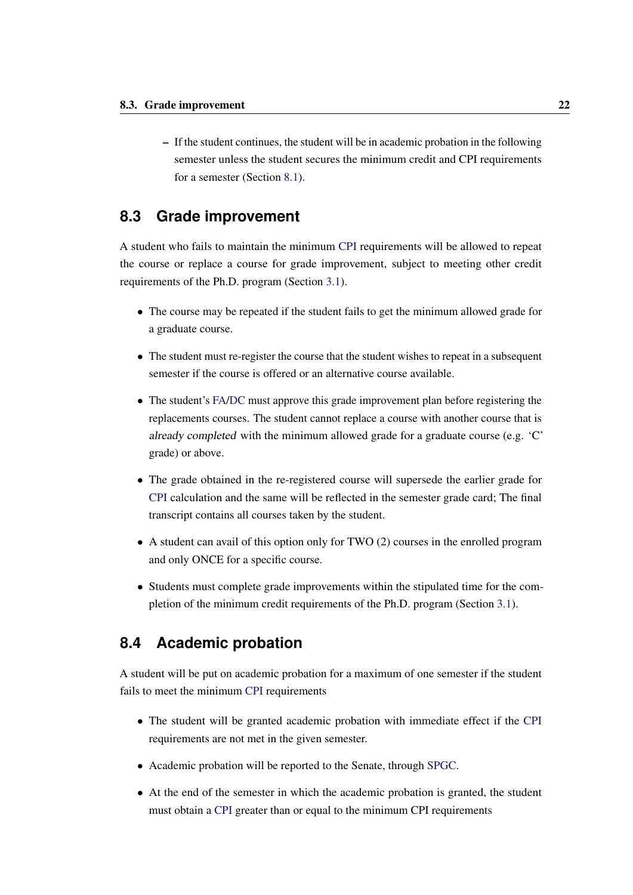<span id="page-28-2"></span>– If the student continues, the student will be in academic probation in the following semester unless the student secures the minimum credit and CPI requirements for a semester (Section [8.1\)](#page-27-1).

### <span id="page-28-0"></span>**8.3 Grade improvement**

A student who fails to maintain the minimum [CPI](#page-44-8) requirements will be allowed to repeat the course or replace a course for grade improvement, subject to meeting other credit requirements of the Ph.D. program (Section [3.1\)](#page-12-0).

- The course may be repeated if the student fails to get the minimum allowed grade for a graduate course.
- The student must re-register the course that the student wishes to repeat in a subsequent semester if the course is offered or an alternative course available.
- The student's [FA/](#page-44-6)[DC](#page-44-4) must approve this grade improvement plan before registering the replacements courses. The student cannot replace a course with another course that is already completed with the minimum allowed grade for a graduate course (e.g. 'C' grade) or above.
- The grade obtained in the re-registered course will supersede the earlier grade for [CPI](#page-44-8) calculation and the same will be reflected in the semester grade card; The final transcript contains all courses taken by the student.
- A student can avail of this option only for TWO (2) courses in the enrolled program and only ONCE for a specific course.
- Students must complete grade improvements within the stipulated time for the completion of the minimum credit requirements of the Ph.D. program (Section [3.1\)](#page-12-0).

## <span id="page-28-1"></span>**8.4 Academic probation**

A student will be put on academic probation for a maximum of one semester if the student fails to meet the minimum [CPI](#page-44-8) requirements

- The student will be granted academic probation with immediate effect if the [CPI](#page-44-8) requirements are not met in the given semester.
- Academic probation will be reported to the Senate, through [SPGC.](#page-44-1)
- At the end of the semester in which the academic probation is granted, the student must obtain a [CPI](#page-44-8) greater than or equal to the minimum CPI requirements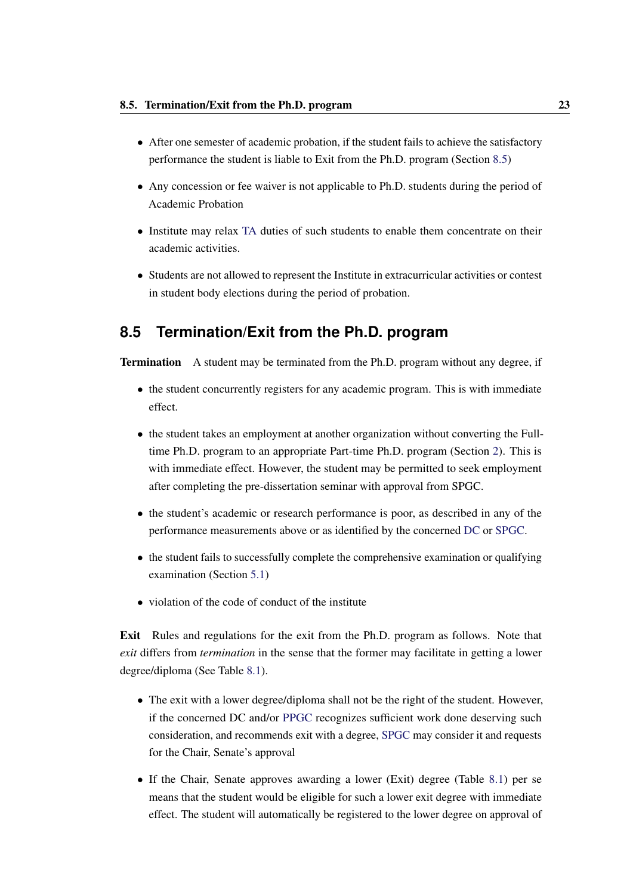- <span id="page-29-1"></span>• After one semester of academic probation, if the student fails to achieve the satisfactory performance the student is liable to Exit from the Ph.D. program (Section [8.5\)](#page-29-0)
- Any concession or fee waiver is not applicable to Ph.D. students during the period of Academic Probation
- Institute may relax [TA](#page-44-5) duties of such students to enable them concentrate on their academic activities.
- Students are not allowed to represent the Institute in extracurricular activities or contest in student body elections during the period of probation.

### <span id="page-29-0"></span>**8.5 Termination/Exit from the Ph.D. program**

Termination A student may be terminated from the Ph.D. program without any degree, if

- the student concurrently registers for any academic program. This is with immediate effect.
- the student takes an employment at another organization without converting the Fulltime Ph.D. program to an appropriate Part-time Ph.D. program (Section [2\)](#page-8-0). This is with immediate effect. However, the student may be permitted to seek employment after completing the pre-dissertation seminar with approval from SPGC.
- the student's academic or research performance is poor, as described in any of the performance measurements above or as identified by the concerned [DC](#page-44-4) or [SPGC.](#page-44-1)
- the student fails to successfully complete the comprehensive examination or qualifying examination (Section [5.1\)](#page-18-0)
- violation of the code of conduct of the institute

Exit Rules and regulations for the exit from the Ph.D. program as follows. Note that *exit* differs from *termination* in the sense that the former may facilitate in getting a lower degree/diploma (See Table [8.1\)](#page-30-0).

- The exit with a lower degree/diploma shall not be the right of the student. However, if the concerned DC and/or [PPGC](#page-44-12) recognizes sufficient work done deserving such consideration, and recommends exit with a degree, [SPGC](#page-44-1) may consider it and requests for the Chair, Senate's approval
- If the Chair, Senate approves awarding a lower (Exit) degree (Table [8.1\)](#page-30-0) per se means that the student would be eligible for such a lower exit degree with immediate effect. The student will automatically be registered to the lower degree on approval of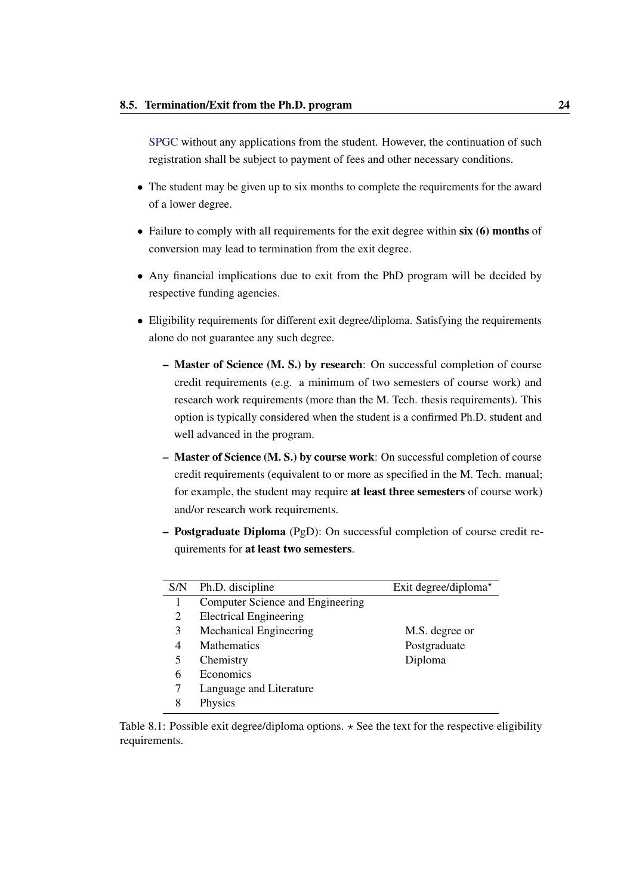<span id="page-30-1"></span>[SPGC](#page-44-1) without any applications from the student. However, the continuation of such registration shall be subject to payment of fees and other necessary conditions.

- The student may be given up to six months to complete the requirements for the award of a lower degree.
- Failure to comply with all requirements for the exit degree within six (6) months of conversion may lead to termination from the exit degree.
- Any financial implications due to exit from the PhD program will be decided by respective funding agencies.
- Eligibility requirements for different exit degree/diploma. Satisfying the requirements alone do not guarantee any such degree.
	- Master of Science (M. S.) by research: On successful completion of course credit requirements (e.g. a minimum of two semesters of course work) and research work requirements (more than the M. Tech. thesis requirements). This option is typically considered when the student is a confirmed Ph.D. student and well advanced in the program.
	- Master of Science (M. S.) by course work: On successful completion of course credit requirements (equivalent to or more as specified in the M. Tech. manual; for example, the student may require at least three semesters of course work) and/or research work requirements.
	- Postgraduate Diploma (PgD): On successful completion of course credit requirements for at least two semesters.

| S/N | Ph.D. discipline                 | Exit degree/diploma* |
|-----|----------------------------------|----------------------|
|     | Computer Science and Engineering |                      |
| 2   | <b>Electrical Engineering</b>    |                      |
| 3   | Mechanical Engineering           | M.S. degree or       |
| 4   | Mathematics                      | Postgraduate         |
| 5   | Chemistry                        | Diploma              |
| 6   | Economics                        |                      |
|     | Language and Literature          |                      |
| 8   | Physics                          |                      |

<span id="page-30-0"></span>Table 8.1: Possible exit degree/diploma options.  $\star$  See the text for the respective eligibility requirements.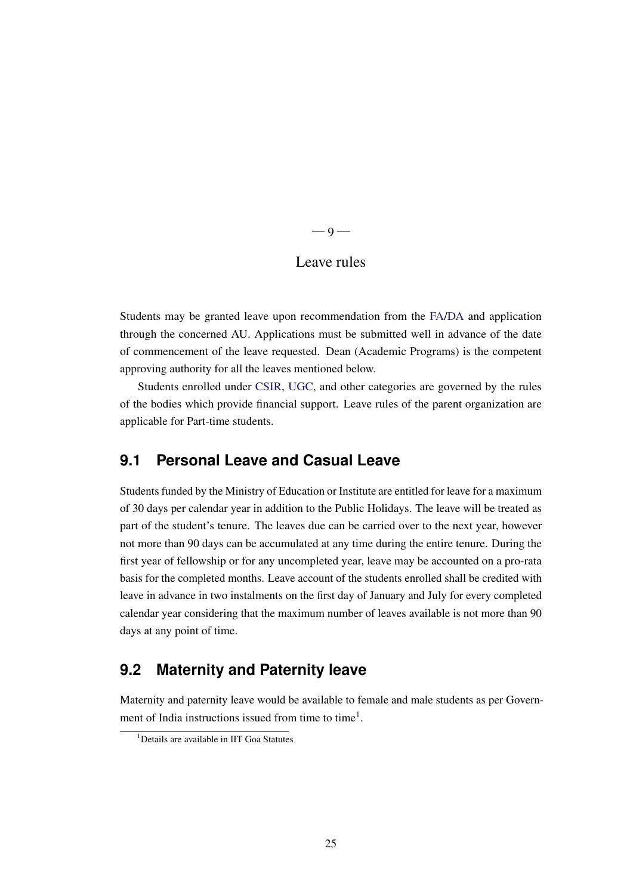# $-9-$

#### Leave rules

<span id="page-31-4"></span><span id="page-31-0"></span>Students may be granted leave upon recommendation from the [FA/](#page-44-6)[DA](#page-44-7) and application through the concerned AU. Applications must be submitted well in advance of the date of commencement of the leave requested. Dean (Academic Programs) is the competent approving authority for all the leaves mentioned below.

Students enrolled under [CSIR,](#page-44-14) [UGC,](#page-44-15) and other categories are governed by the rules of the bodies which provide financial support. Leave rules of the parent organization are applicable for Part-time students.

# <span id="page-31-1"></span>**9.1 Personal Leave and Casual Leave**

Students funded by the Ministry of Education or Institute are entitled for leave for a maximum of 30 days per calendar year in addition to the Public Holidays. The leave will be treated as part of the student's tenure. The leaves due can be carried over to the next year, however not more than 90 days can be accumulated at any time during the entire tenure. During the first year of fellowship or for any uncompleted year, leave may be accounted on a pro-rata basis for the completed months. Leave account of the students enrolled shall be credited with leave in advance in two instalments on the first day of January and July for every completed calendar year considering that the maximum number of leaves available is not more than 90 days at any point of time.

## <span id="page-31-2"></span>**9.2 Maternity and Paternity leave**

Maternity and paternity leave would be available to female and male students as per Govern-ment of India instructions issued from time to time<sup>[1](#page-31-3)</sup>.

<span id="page-31-3"></span><sup>&</sup>lt;sup>1</sup>Details are available in IIT Goa Statutes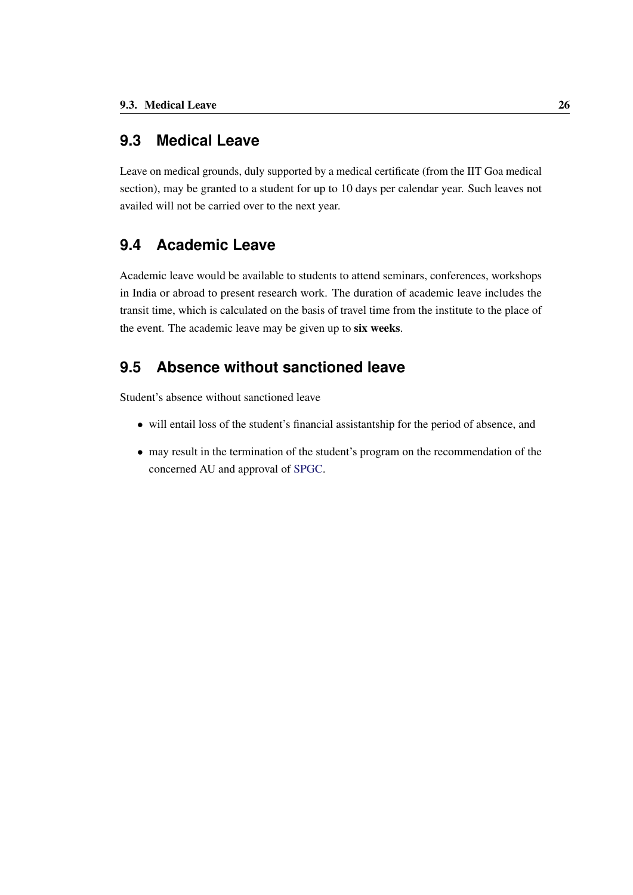## <span id="page-32-3"></span><span id="page-32-0"></span>**9.3 Medical Leave**

Leave on medical grounds, duly supported by a medical certificate (from the IIT Goa medical section), may be granted to a student for up to 10 days per calendar year. Such leaves not availed will not be carried over to the next year.

# <span id="page-32-1"></span>**9.4 Academic Leave**

Academic leave would be available to students to attend seminars, conferences, workshops in India or abroad to present research work. The duration of academic leave includes the transit time, which is calculated on the basis of travel time from the institute to the place of the event. The academic leave may be given up to six weeks.

### <span id="page-32-2"></span>**9.5 Absence without sanctioned leave**

Student's absence without sanctioned leave

- will entail loss of the student's financial assistantship for the period of absence, and
- may result in the termination of the student's program on the recommendation of the concerned AU and approval of [SPGC.](#page-44-1)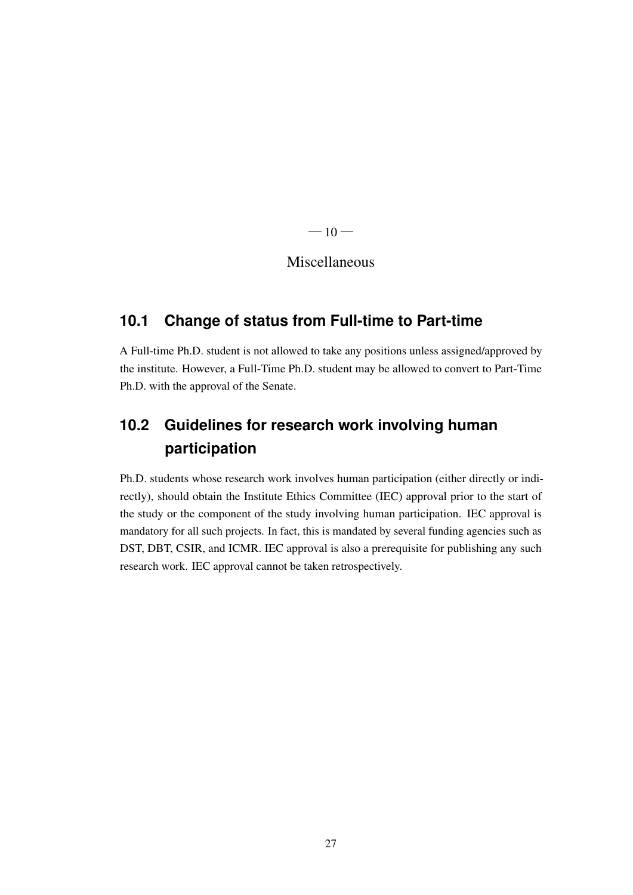$-10-$ 

#### Miscellaneous

# <span id="page-33-1"></span><span id="page-33-0"></span>**10.1 Change of status from Full-time to Part-time**

A Full-time Ph.D. student is not allowed to take any positions unless assigned/approved by the institute. However, a Full-Time Ph.D. student may be allowed to convert to Part-Time Ph.D. with the approval of the Senate.

# <span id="page-33-2"></span>**10.2 Guidelines for research work involving human participation**

Ph.D. students whose research work involves human participation (either directly or indirectly), should obtain the Institute Ethics Committee (IEC) approval prior to the start of the study or the component of the study involving human participation. IEC approval is mandatory for all such projects. In fact, this is mandated by several funding agencies such as DST, DBT, CSIR, and ICMR. IEC approval is also a prerequisite for publishing any such research work. IEC approval cannot be taken retrospectively.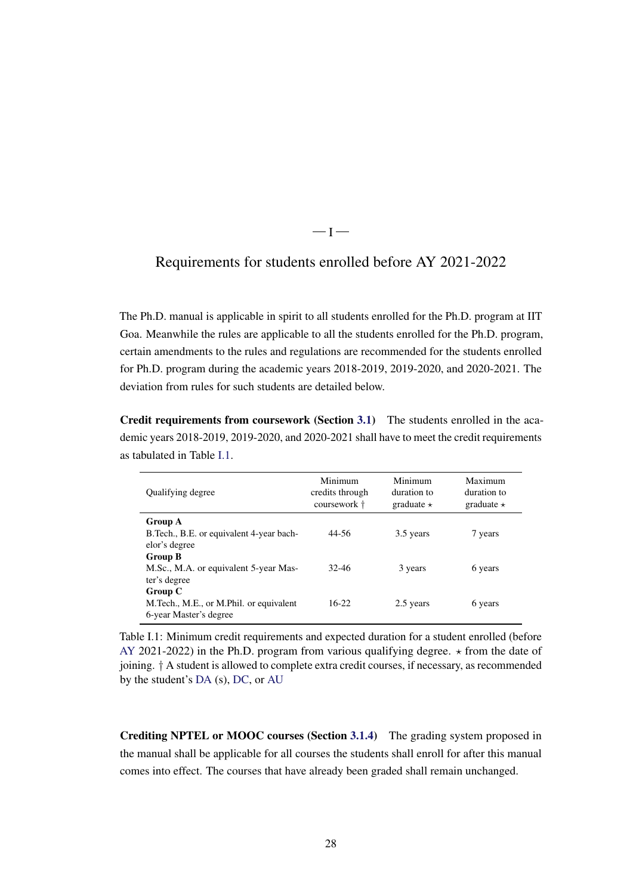#### <span id="page-34-2"></span><span id="page-34-0"></span>Requirements for students enrolled before AY 2021-2022

 $-I -$ 

The Ph.D. manual is applicable in spirit to all students enrolled for the Ph.D. program at IIT Goa. Meanwhile the rules are applicable to all the students enrolled for the Ph.D. program, certain amendments to the rules and regulations are recommended for the students enrolled for Ph.D. program during the academic years 2018-2019, 2019-2020, and 2020-2021. The deviation from rules for such students are detailed below.

Credit requirements from coursework (Section [3.1\)](#page-12-0) The students enrolled in the academic years 2018-2019, 2019-2020, and 2020-2021 shall have to meet the credit requirements as tabulated in Table [I.1.](#page-34-1)

| Qualifying degree                                                              | Minimum<br>credits through<br>coursework † | Minimum<br>duration to<br>graduate $\star$ | Maximum<br>duration to<br>graduate $\star$ |
|--------------------------------------------------------------------------------|--------------------------------------------|--------------------------------------------|--------------------------------------------|
| <b>Group A</b><br>B. Tech., B.E. or equivalent 4-year bach-<br>elor's degree   | 44-56                                      | 3.5 years                                  | 7 years                                    |
| <b>Group B</b><br>M.Sc., M.A. or equivalent 5-year Mas-<br>ter's degree        | $32 - 46$                                  | 3 years                                    | 6 years                                    |
| Group C<br>M. Tech., M.E., or M. Phil. or equivalent<br>6-year Master's degree | $16-22$                                    | 2.5 years                                  | 6 years                                    |

<span id="page-34-1"></span>Table I.1: Minimum credit requirements and expected duration for a student enrolled (before [AY](#page-44-9) 2021-2022) in the Ph.D. program from various qualifying degree.  $\star$  from the date of joining. † A student is allowed to complete extra credit courses, if necessary, as recommended by the student's [DA](#page-44-7) (s), [DC,](#page-44-4) or [AU](#page-44-3)

Crediting NPTEL or MOOC courses (Section [3.1.4\)](#page-13-1) The grading system proposed in the manual shall be applicable for all courses the students shall enroll for after this manual comes into effect. The courses that have already been graded shall remain unchanged.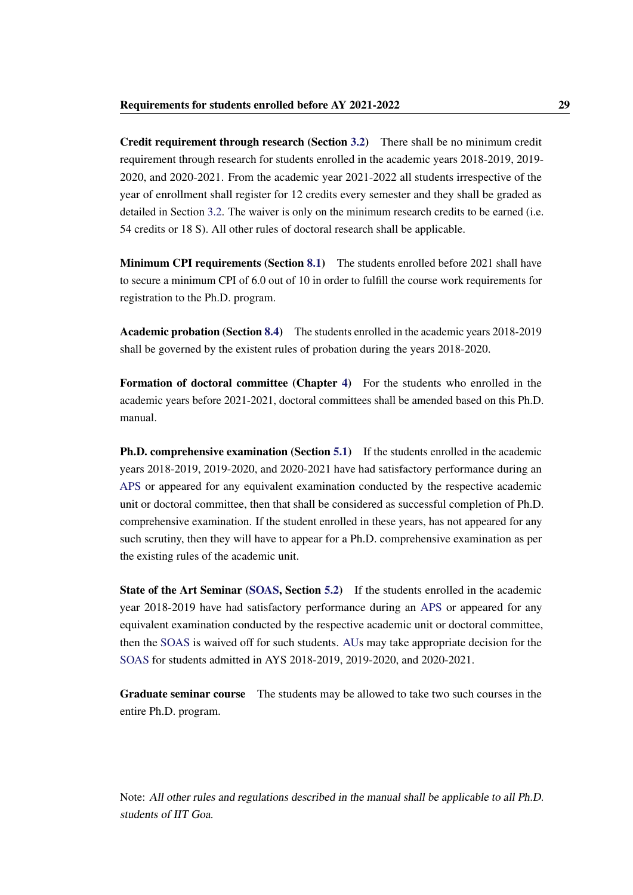<span id="page-35-0"></span>Credit requirement through research (Section [3.2\)](#page-14-0) There shall be no minimum credit requirement through research for students enrolled in the academic years 2018-2019, 2019- 2020, and 2020-2021. From the academic year 2021-2022 all students irrespective of the year of enrollment shall register for 12 credits every semester and they shall be graded as detailed in Section [3.2.](#page-14-0) The waiver is only on the minimum research credits to be earned (i.e. 54 credits or 18 S). All other rules of doctoral research shall be applicable.

Minimum CPI requirements (Section [8.1\)](#page-27-1) The students enrolled before 2021 shall have to secure a minimum CPI of 6.0 out of 10 in order to fulfill the course work requirements for registration to the Ph.D. program.

Academic probation (Section [8.4\)](#page-28-1) The students enrolled in the academic years 2018-2019 shall be governed by the existent rules of probation during the years 2018-2020.

Formation of doctoral committee (Chapter [4\)](#page-16-0) For the students who enrolled in the academic years before 2021-2021, doctoral committees shall be amended based on this Ph.D. manual.

Ph.D. comprehensive examination (Section [5.1\)](#page-18-0) If the students enrolled in the academic years 2018-2019, 2019-2020, and 2020-2021 have had satisfactory performance during an [APS](#page-44-10) or appeared for any equivalent examination conducted by the respective academic unit or doctoral committee, then that shall be considered as successful completion of Ph.D. comprehensive examination. If the student enrolled in these years, has not appeared for any such scrutiny, then they will have to appear for a Ph.D. comprehensive examination as per the existing rules of the academic unit.

State of the Art Seminar [\(SOAS,](#page-44-13) Section [5.2\)](#page-18-1) If the students enrolled in the academic year 2018-2019 have had satisfactory performance during an [APS](#page-44-10) or appeared for any equivalent examination conducted by the respective academic unit or doctoral committee, then the [SOAS](#page-44-13) is waived off for such students. [AUs](#page-44-3) may take appropriate decision for the [SOAS](#page-44-13) for students admitted in AYS 2018-2019, 2019-2020, and 2020-2021.

Graduate seminar course The students may be allowed to take two such courses in the entire Ph.D. program.

Note: All other rules and regulations described in the manual shall be applicable to all Ph.D. students of IIT Goa.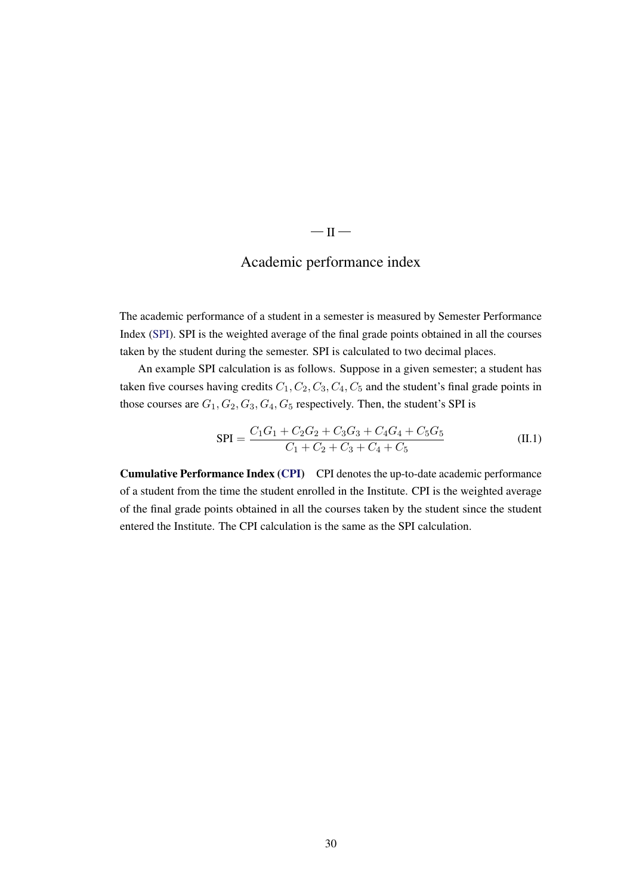#### $-II -$

#### <span id="page-36-1"></span><span id="page-36-0"></span>Academic performance index

The academic performance of a student in a semester is measured by Semester Performance Index [\(SPI\)](#page-44-11). SPI is the weighted average of the final grade points obtained in all the courses taken by the student during the semester. SPI is calculated to two decimal places.

An example SPI calculation is as follows. Suppose in a given semester; a student has taken five courses having credits  $C_1, C_2, C_3, C_4, C_5$  and the student's final grade points in those courses are  $G_1, G_2, G_3, G_4, G_5$  respectively. Then, the student's SPI is

$$
SPI = \frac{C_1G_1 + C_2G_2 + C_3G_3 + C_4G_4 + C_5G_5}{C_1 + C_2 + C_3 + C_4 + C_5} \tag{II.1}
$$

Cumulative Performance Index [\(CPI\)](#page-44-8) CPI denotes the up-to-date academic performance of a student from the time the student enrolled in the Institute. CPI is the weighted average of the final grade points obtained in all the courses taken by the student since the student entered the Institute. The CPI calculation is the same as the SPI calculation.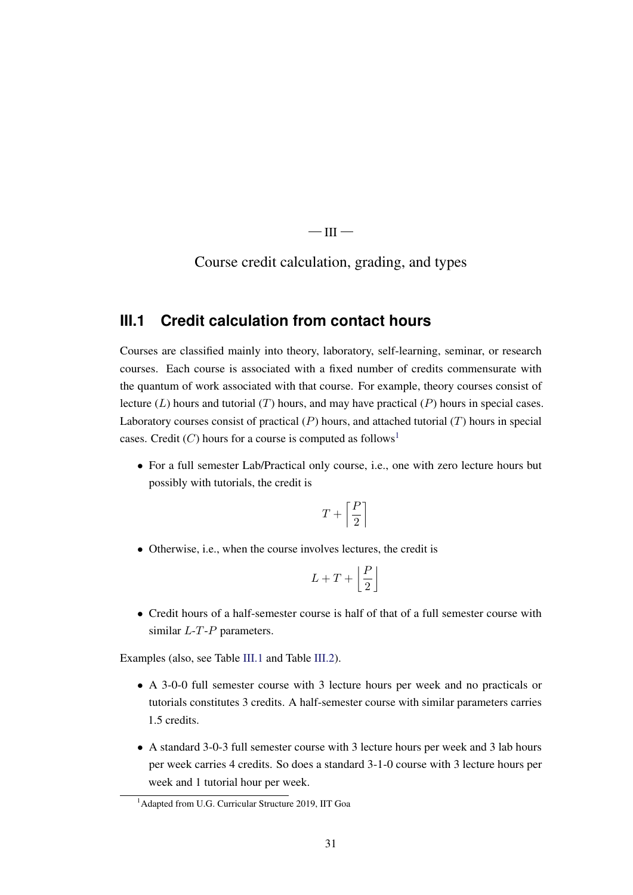$\overline{\phantom{0}}$ III $\overline{\phantom{0}}$ 

<span id="page-37-0"></span>Course credit calculation, grading, and types

#### <span id="page-37-1"></span>**III.1 Credit calculation from contact hours**

Courses are classified mainly into theory, laboratory, self-learning, seminar, or research courses. Each course is associated with a fixed number of credits commensurate with the quantum of work associated with that course. For example, theory courses consist of lecture (*L*) hours and tutorial (*T*) hours, and may have practical (*P*) hours in special cases. Laboratory courses consist of practical (*P*) hours, and attached tutorial (*T*) hours in special cases. Credit  $(C)$  hours for a course is computed as follows<sup>[1](#page-37-2)</sup>

• For a full semester Lab/Practical only course, i.e., one with zero lecture hours but possibly with tutorials, the credit is

$$
T+\left\lceil\frac{P}{2}\right\rceil
$$

• Otherwise, i.e., when the course involves lectures, the credit is

$$
L+T+\left\lfloor\frac{P}{2}\right\rfloor
$$

• Credit hours of a half-semester course is half of that of a full semester course with similar *L*-*T*-*P* parameters.

Examples (also, see Table [III.1](#page-38-0) and Table [III.2\)](#page-38-1).

- A 3-0-0 full semester course with 3 lecture hours per week and no practicals or tutorials constitutes 3 credits. A half-semester course with similar parameters carries 1.5 credits.
- A standard 3-0-3 full semester course with 3 lecture hours per week and 3 lab hours per week carries 4 credits. So does a standard 3-1-0 course with 3 lecture hours per week and 1 tutorial hour per week.

<span id="page-37-2"></span><sup>&</sup>lt;sup>1</sup> Adapted from U.G. Curricular Structure 2019, IIT Goa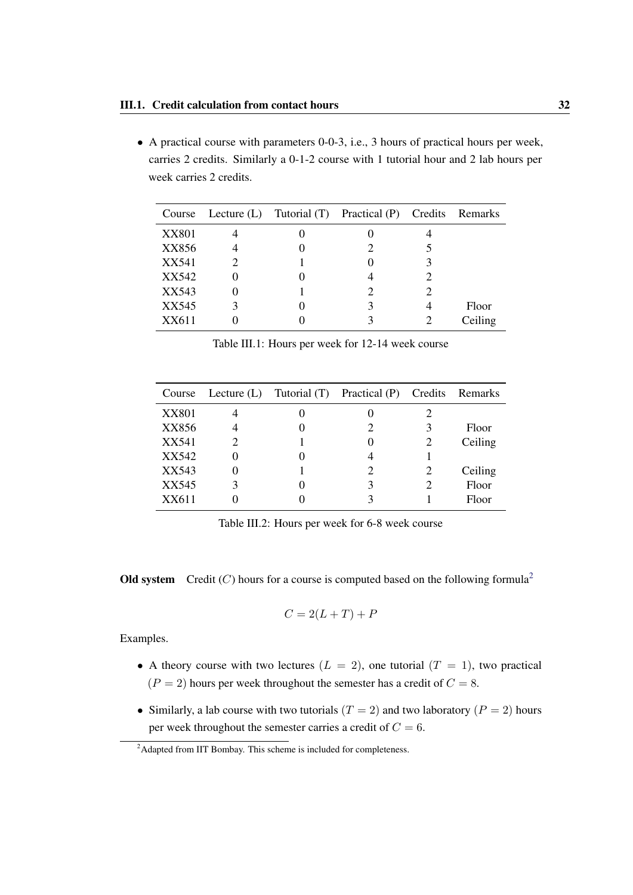• A practical course with parameters 0-0-3, i.e., 3 hours of practical hours per week, carries 2 credits. Similarly a 0-1-2 course with 1 tutorial hour and 2 lab hours per week carries 2 credits.

|              |  | Course Lecture (L) Tutorial (T) Practical (P) Credits Remarks |         |
|--------------|--|---------------------------------------------------------------|---------|
| <b>XX801</b> |  |                                                               |         |
| XX856        |  |                                                               |         |
| XX541        |  |                                                               |         |
| XX542        |  |                                                               |         |
| XX543        |  |                                                               |         |
| XX545        |  |                                                               | Floor   |
| XX611        |  |                                                               | Ceiling |

| Course       |  | Lecture (L) Tutorial (T) Practical (P) Credits |   | Remarks |
|--------------|--|------------------------------------------------|---|---------|
| <b>XX801</b> |  |                                                |   |         |
| XX856        |  | 2                                              | 3 | Floor   |
| XX541        |  |                                                | 2 | Ceiling |
| XX542        |  |                                                |   |         |
| XX543        |  |                                                |   | Ceiling |
| XX545        |  | 3                                              | 2 | Floor   |
| XX611        |  |                                                |   | Floor   |

<span id="page-38-0"></span>Table III.1: Hours per week for 12-14 week course

<span id="page-38-1"></span>Table III.2: Hours per week for 6-8 week course

Old system Credit  $(C)$  hours for a course is computed based on the following formula<sup>[2](#page-38-2)</sup>

$$
C = 2(L+T) + P
$$

Examples.

- A theory course with two lectures  $(L = 2)$ , one tutorial  $(T = 1)$ , two practical  $(P = 2)$  hours per week throughout the semester has a credit of  $C = 8$ .
- Similarly, a lab course with two tutorials  $(T = 2)$  and two laboratory  $(P = 2)$  hours per week throughout the semester carries a credit of  $C = 6$ .

<span id="page-38-2"></span><sup>&</sup>lt;sup>2</sup>Adapted from IIT Bombay. This scheme is included for completeness.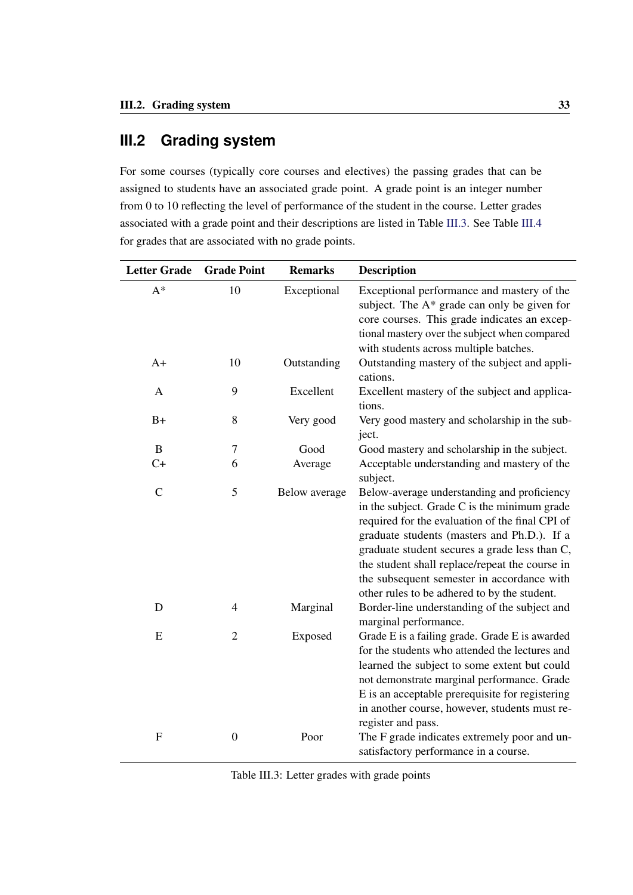# <span id="page-39-0"></span>**III.2 Grading system**

For some courses (typically core courses and electives) the passing grades that can be assigned to students have an associated grade point. A grade point is an integer number from 0 to 10 reflecting the level of performance of the student in the course. Letter grades associated with a grade point and their descriptions are listed in Table [III.3.](#page-39-1) See Table [III.4](#page-41-0) for grades that are associated with no grade points.

| <b>Letter Grade</b> | <b>Grade Point</b> | <b>Remarks</b> | <b>Description</b>                                                                                                                                                                                                                                                                                                                                                                               |
|---------------------|--------------------|----------------|--------------------------------------------------------------------------------------------------------------------------------------------------------------------------------------------------------------------------------------------------------------------------------------------------------------------------------------------------------------------------------------------------|
| $A^*$               | 10                 | Exceptional    | Exceptional performance and mastery of the<br>subject. The A* grade can only be given for<br>core courses. This grade indicates an excep-<br>tional mastery over the subject when compared<br>with students across multiple batches.                                                                                                                                                             |
| $A+$                | 10                 | Outstanding    | Outstanding mastery of the subject and appli-<br>cations.                                                                                                                                                                                                                                                                                                                                        |
| A                   | 9                  | Excellent      | Excellent mastery of the subject and applica-<br>tions.                                                                                                                                                                                                                                                                                                                                          |
| $B+$                | 8                  | Very good      | Very good mastery and scholarship in the sub-<br>ject.                                                                                                                                                                                                                                                                                                                                           |
| $\bf{B}$            | $\tau$             | Good           | Good mastery and scholarship in the subject.                                                                                                                                                                                                                                                                                                                                                     |
| $C+$                | 6                  | Average        | Acceptable understanding and mastery of the<br>subject.                                                                                                                                                                                                                                                                                                                                          |
| $\mathsf{C}$        | 5                  | Below average  | Below-average understanding and proficiency<br>in the subject. Grade $C$ is the minimum grade<br>required for the evaluation of the final CPI of<br>graduate students (masters and Ph.D.). If a<br>graduate student secures a grade less than C,<br>the student shall replace/repeat the course in<br>the subsequent semester in accordance with<br>other rules to be adhered to by the student. |
| D                   | $\overline{4}$     | Marginal       | Border-line understanding of the subject and<br>marginal performance.                                                                                                                                                                                                                                                                                                                            |
| E                   | $\overline{2}$     | Exposed        | Grade E is a failing grade. Grade E is awarded<br>for the students who attended the lectures and<br>learned the subject to some extent but could<br>not demonstrate marginal performance. Grade<br>E is an acceptable prerequisite for registering<br>in another course, however, students must re-<br>register and pass.                                                                        |
| $\mathbf{F}$        | $\boldsymbol{0}$   | Poor           | The F grade indicates extremely poor and un-<br>satisfactory performance in a course.                                                                                                                                                                                                                                                                                                            |

<span id="page-39-1"></span>Table III.3: Letter grades with grade points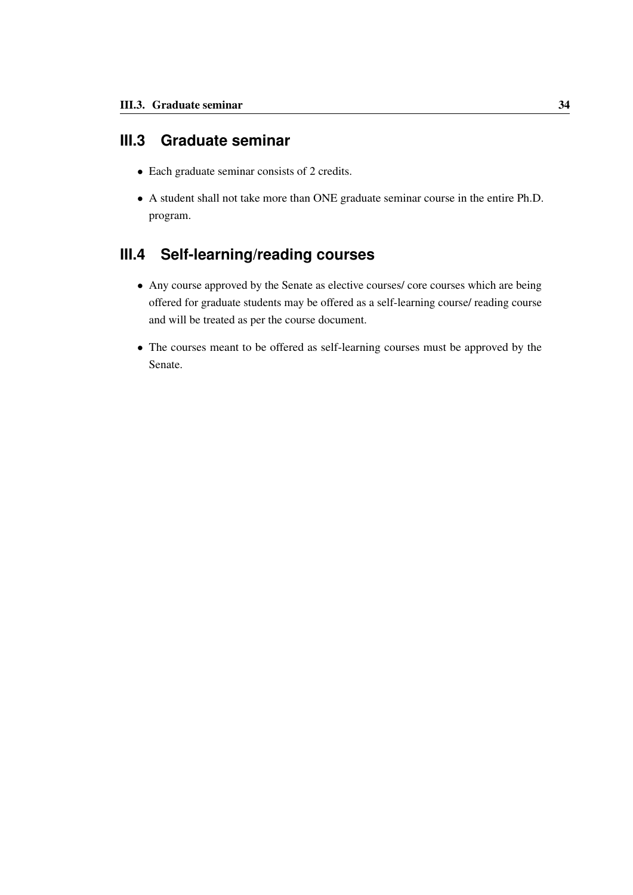# <span id="page-40-0"></span>**III.3 Graduate seminar**

- Each graduate seminar consists of 2 credits.
- A student shall not take more than ONE graduate seminar course in the entire Ph.D. program.

# <span id="page-40-1"></span>**III.4 Self-learning/reading courses**

- Any course approved by the Senate as elective courses/ core courses which are being offered for graduate students may be offered as a self-learning course/ reading course and will be treated as per the course document.
- The courses meant to be offered as self-learning courses must be approved by the Senate.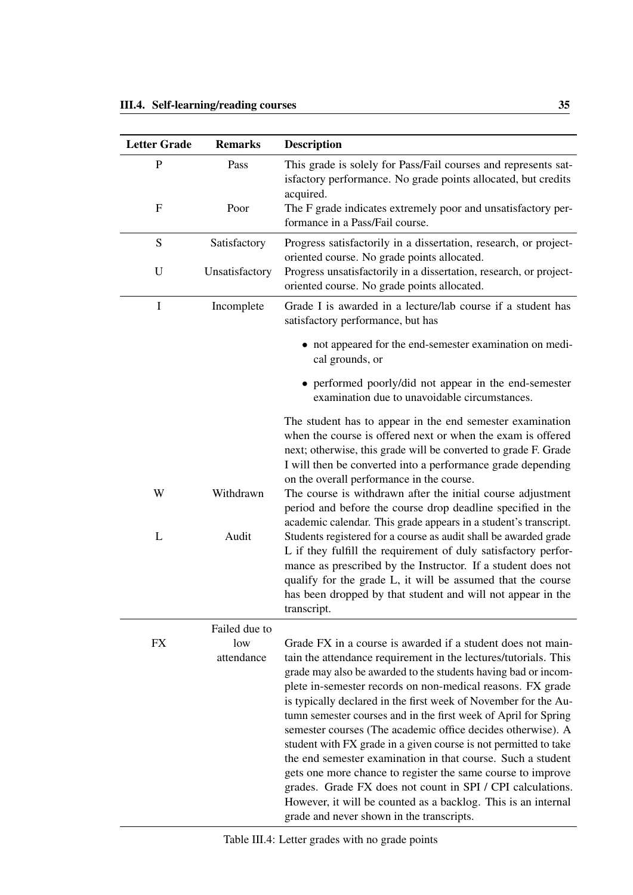<span id="page-41-0"></span>

| <b>Letter Grade</b> | <b>Remarks</b>    | <b>Description</b>                                                                                                                                                                                                                                                                                                                                                                                                                                                                                                                                                                                                                                                                                                                                                                                                                                |
|---------------------|-------------------|---------------------------------------------------------------------------------------------------------------------------------------------------------------------------------------------------------------------------------------------------------------------------------------------------------------------------------------------------------------------------------------------------------------------------------------------------------------------------------------------------------------------------------------------------------------------------------------------------------------------------------------------------------------------------------------------------------------------------------------------------------------------------------------------------------------------------------------------------|
| P                   | Pass              | This grade is solely for Pass/Fail courses and represents sat-<br>isfactory performance. No grade points allocated, but credits<br>acquired.                                                                                                                                                                                                                                                                                                                                                                                                                                                                                                                                                                                                                                                                                                      |
| $\mathbf F$         | Poor              | The F grade indicates extremely poor and unsatisfactory per-<br>formance in a Pass/Fail course.                                                                                                                                                                                                                                                                                                                                                                                                                                                                                                                                                                                                                                                                                                                                                   |
| S                   | Satisfactory      | Progress satisfactorily in a dissertation, research, or project-<br>oriented course. No grade points allocated.                                                                                                                                                                                                                                                                                                                                                                                                                                                                                                                                                                                                                                                                                                                                   |
| U                   | Unsatisfactory    | Progress unsatisfactorily in a dissertation, research, or project-<br>oriented course. No grade points allocated.                                                                                                                                                                                                                                                                                                                                                                                                                                                                                                                                                                                                                                                                                                                                 |
| $\bf I$             | Incomplete        | Grade I is awarded in a lecture/lab course if a student has<br>satisfactory performance, but has                                                                                                                                                                                                                                                                                                                                                                                                                                                                                                                                                                                                                                                                                                                                                  |
|                     |                   | • not appeared for the end-semester examination on medi-<br>cal grounds, or                                                                                                                                                                                                                                                                                                                                                                                                                                                                                                                                                                                                                                                                                                                                                                       |
|                     |                   | • performed poorly/did not appear in the end-semester<br>examination due to unavoidable circumstances.                                                                                                                                                                                                                                                                                                                                                                                                                                                                                                                                                                                                                                                                                                                                            |
|                     |                   | The student has to appear in the end semester examination<br>when the course is offered next or when the exam is offered<br>next; otherwise, this grade will be converted to grade F. Grade<br>I will then be converted into a performance grade depending<br>on the overall performance in the course.                                                                                                                                                                                                                                                                                                                                                                                                                                                                                                                                           |
| W                   | Withdrawn         | The course is withdrawn after the initial course adjustment<br>period and before the course drop deadline specified in the<br>academic calendar. This grade appears in a student's transcript.                                                                                                                                                                                                                                                                                                                                                                                                                                                                                                                                                                                                                                                    |
| L                   | Audit             | Students registered for a course as audit shall be awarded grade<br>L if they fulfill the requirement of duly satisfactory perfor-<br>mance as prescribed by the Instructor. If a student does not<br>qualify for the grade L, it will be assumed that the course<br>has been dropped by that student and will not appear in the<br>transcript.                                                                                                                                                                                                                                                                                                                                                                                                                                                                                                   |
|                     | Failed due to     |                                                                                                                                                                                                                                                                                                                                                                                                                                                                                                                                                                                                                                                                                                                                                                                                                                                   |
| <b>FX</b>           | low<br>attendance | Grade FX in a course is awarded if a student does not main-<br>tain the attendance requirement in the lectures/tutorials. This<br>grade may also be awarded to the students having bad or incom-<br>plete in-semester records on non-medical reasons. FX grade<br>is typically declared in the first week of November for the Au-<br>tumn semester courses and in the first week of April for Spring<br>semester courses (The academic office decides otherwise). A<br>student with FX grade in a given course is not permitted to take<br>the end semester examination in that course. Such a student<br>gets one more chance to register the same course to improve<br>grades. Grade FX does not count in SPI / CPI calculations.<br>However, it will be counted as a backlog. This is an internal<br>grade and never shown in the transcripts. |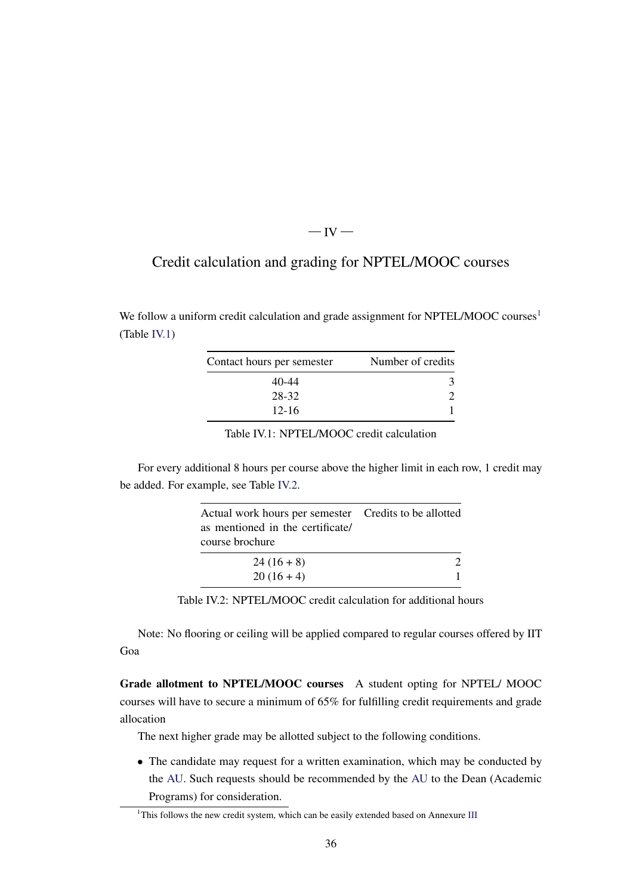#### $\overline{\phantom{0}}$ IV $\overline{\phantom{0}}$

#### <span id="page-42-4"></span><span id="page-42-0"></span>Credit calculation and grading for NPTEL/MOOC courses

We follow a uniform credit calculation and grade assignment for NPTEL/MOOC courses<sup>[1](#page-42-1)</sup> (Table [IV.1\)](#page-42-2)

| Contact hours per semester | Number of credits |
|----------------------------|-------------------|
| 40-44                      |                   |
| 28-32                      |                   |
| $12 - 16$                  |                   |

<span id="page-42-2"></span>Table IV.1: NPTEL/MOOC credit calculation

For every additional 8 hours per course above the higher limit in each row, 1 credit may be added. For example, see Table [IV.2.](#page-42-3)

| Actual work hours per semester Credits to be allotted<br>as mentioned in the certificate/ |  |
|-------------------------------------------------------------------------------------------|--|
| course brochure                                                                           |  |
| $24(16+8)$                                                                                |  |
| $20(16+4)$                                                                                |  |

<span id="page-42-3"></span>Table IV.2: NPTEL/MOOC credit calculation for additional hours

Note: No flooring or ceiling will be applied compared to regular courses offered by IIT Goa

Grade allotment to NPTEL/MOOC courses A student opting for NPTEL/ MOOC courses will have to secure a minimum of 65% for fulfilling credit requirements and grade allocation

The next higher grade may be allotted subject to the following conditions.

• The candidate may request for a written examination, which may be conducted by the [AU.](#page-44-3) Such requests should be recommended by the [AU](#page-44-3) to the Dean (Academic Programs) for consideration.

<span id="page-42-1"></span><sup>&</sup>lt;sup>1</sup>This follows the new credit system, which can be easily extended based on Annexure [III](#page-37-0)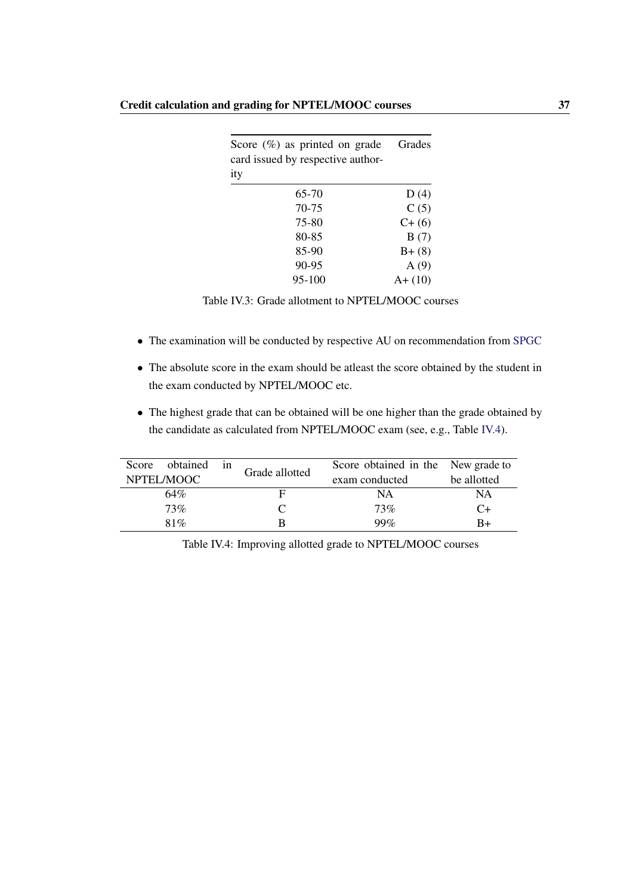<span id="page-43-1"></span>

| Score $(\%)$ as printed on grade<br>card issued by respective author- | Grades    |  |
|-----------------------------------------------------------------------|-----------|--|
| ity                                                                   |           |  |
| 65-70                                                                 | D(4)      |  |
| 70-75                                                                 | C(5)      |  |
| 75-80                                                                 | $C+ (6)$  |  |
| 80-85                                                                 | B(7)      |  |
| 85-90                                                                 | $B+(8)$   |  |
| 90-95                                                                 | A(9)      |  |
| 95-100                                                                | $A+ (10)$ |  |

Table IV.3: Grade allotment to NPTEL/MOOC courses

- The examination will be conducted by respective AU on recommendation from [SPGC](#page-44-1)
- The absolute score in the exam should be at least the score obtained by the student in the exam conducted by NPTEL/MOOC etc.
- The highest grade that can be obtained will be one higher than the grade obtained by the candidate as calculated from NPTEL/MOOC exam (see, e.g., Table [IV.4\)](#page-43-0).

| Score      | obtained | in | Grade allotted | Score obtained in the New grade to |             |
|------------|----------|----|----------------|------------------------------------|-------------|
| NPTEL/MOOC |          |    |                | exam conducted                     | be allotted |
|            | 64%      |    | н              | NA                                 | NA          |
|            | 73%      |    |                | 73%                                | C+          |
|            | 81%      |    | В              | $99\%$                             | R+          |
|            |          |    |                |                                    |             |

<span id="page-43-0"></span>Table IV.4: Improving allotted grade to NPTEL/MOOC courses